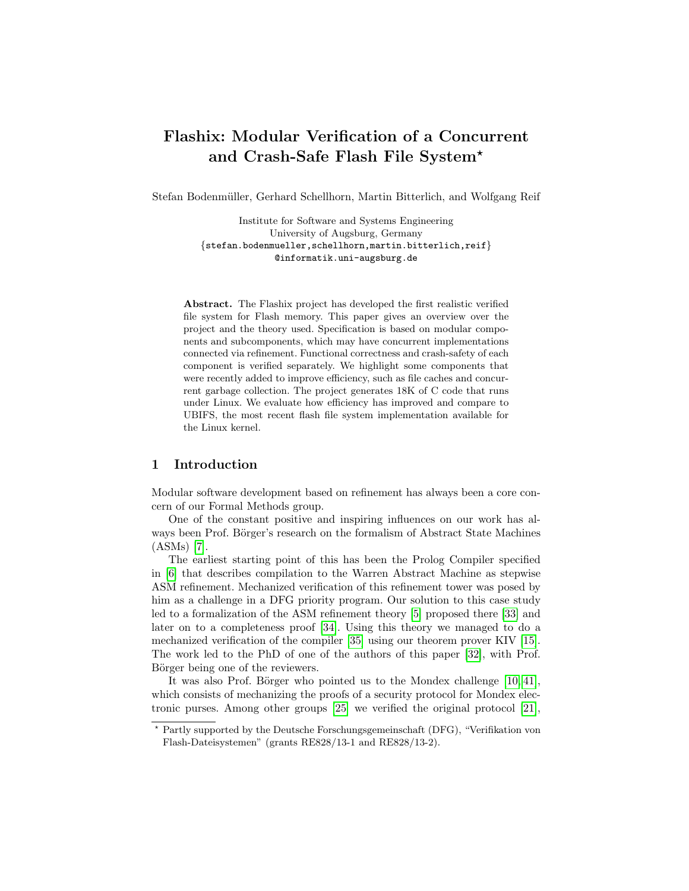# Flashix: Modular Verification of a Concurrent and Crash-Safe Flash File System?

Stefan Bodenmüller, Gerhard Schellhorn, Martin Bitterlich, and Wolfgang Reif

Institute for Software and Systems Engineering University of Augsburg, Germany {stefan.bodenmueller,schellhorn,martin.bitterlich,reif} @informatik.uni-augsburg.de

Abstract. The Flashix project has developed the first realistic verified file system for Flash memory. This paper gives an overview over the project and the theory used. Specification is based on modular components and subcomponents, which may have concurrent implementations connected via refinement. Functional correctness and crash-safety of each component is verified separately. We highlight some components that were recently added to improve efficiency, such as file caches and concurrent garbage collection. The project generates 18K of C code that runs under Linux. We evaluate how efficiency has improved and compare to UBIFS, the most recent flash file system implementation available for the Linux kernel.

## 1 Introduction

Modular software development based on refinement has always been a core concern of our Formal Methods group.

One of the constant positive and inspiring influences on our work has always been Prof. Börger's research on the formalism of Abstract State Machines (ASMs) [\[7\]](#page-24-0).

The earliest starting point of this has been the Prolog Compiler specified in [\[6\]](#page-24-1) that describes compilation to the Warren Abstract Machine as stepwise ASM refinement. Mechanized verification of this refinement tower was posed by him as a challenge in a DFG priority program. Our solution to this case study led to a formalization of the ASM refinement theory [\[5\]](#page-24-2) proposed there [\[33\]](#page-26-0) and later on to a completeness proof [\[34\]](#page-26-1). Using this theory we managed to do a mechanized verification of the compiler [\[35\]](#page-26-2) using our theorem prover KIV [\[15\]](#page-24-3). The work led to the PhD of one of the authors of this paper [\[32\]](#page-25-0), with Prof. Börger being one of the reviewers.

It was also Prof. Börger who pointed us to the Mondex challenge  $[10, 41]$  $[10, 41]$ , which consists of mechanizing the proofs of a security protocol for Mondex electronic purses. Among other groups [\[25\]](#page-25-1) we verified the original protocol [\[21\]](#page-25-2),

<sup>?</sup> Partly supported by the Deutsche Forschungsgemeinschaft (DFG), "Verifikation von Flash-Dateisystemen" (grants RE828/13-1 and RE828/13-2).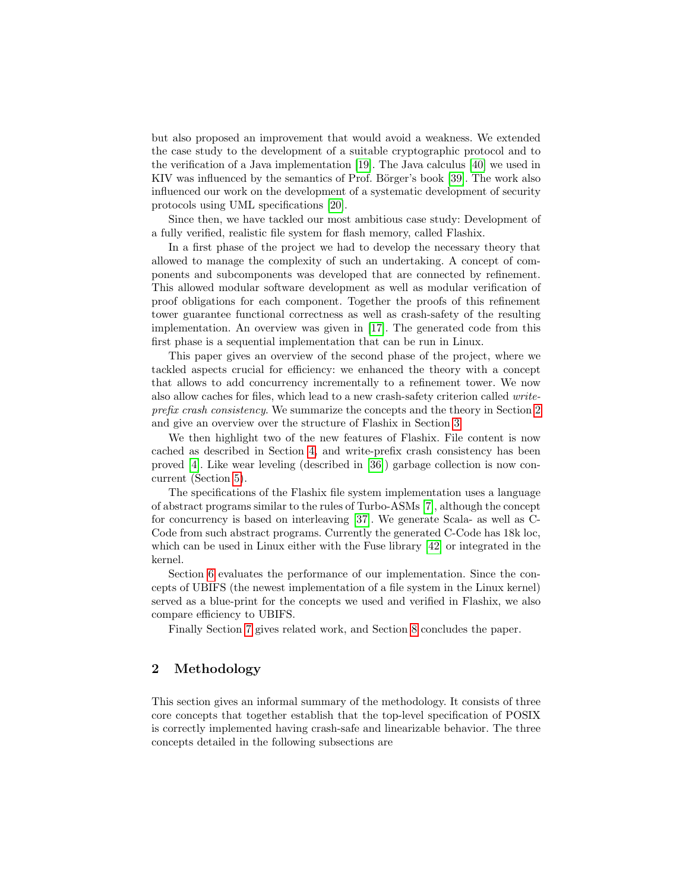but also proposed an improvement that would avoid a weakness. We extended the case study to the development of a suitable cryptographic protocol and to the verification of a Java implementation [\[19\]](#page-25-3). The Java calculus [\[40\]](#page-26-4) we used in KIV was influenced by the semantics of Prof. Börger's book [\[39\]](#page-26-5). The work also influenced our work on the development of a systematic development of security protocols using UML specifications [\[20\]](#page-25-4).

Since then, we have tackled our most ambitious case study: Development of a fully verified, realistic file system for flash memory, called Flashix.

In a first phase of the project we had to develop the necessary theory that allowed to manage the complexity of such an undertaking. A concept of components and subcomponents was developed that are connected by refinement. This allowed modular software development as well as modular verification of proof obligations for each component. Together the proofs of this refinement tower guarantee functional correctness as well as crash-safety of the resulting implementation. An overview was given in [\[17\]](#page-25-5). The generated code from this first phase is a sequential implementation that can be run in Linux.

This paper gives an overview of the second phase of the project, where we tackled aspects crucial for efficiency: we enhanced the theory with a concept that allows to add concurrency incrementally to a refinement tower. We now also allow caches for files, which lead to a new crash-safety criterion called writeprefix crash consistency. We summarize the concepts and the theory in Section [2](#page-1-0) and give an overview over the structure of Flashix in Section [3.](#page-8-0)

We then highlight two of the new features of Flashix. File content is now cached as described in Section [4,](#page-12-0) and write-prefix crash consistency has been proved [\[4\]](#page-24-5). Like wear leveling (described in [\[36\]](#page-26-6)) garbage collection is now concurrent (Section [5\)](#page-15-0).

The specifications of the Flashix file system implementation uses a language of abstract programs similar to the rules of Turbo-ASMs [\[7\]](#page-24-0), although the concept for concurrency is based on interleaving [\[37\]](#page-26-7). We generate Scala- as well as C-Code from such abstract programs. Currently the generated C-Code has 18k loc, which can be used in Linux either with the Fuse library [\[42\]](#page-26-8) or integrated in the kernel.

Section [6](#page-18-0) evaluates the performance of our implementation. Since the concepts of UBIFS (the newest implementation of a file system in the Linux kernel) served as a blue-print for the concepts we used and verified in Flashix, we also compare efficiency to UBIFS.

Finally Section [7](#page-22-0) gives related work, and Section [8](#page-23-0) concludes the paper.

# <span id="page-1-0"></span>2 Methodology

This section gives an informal summary of the methodology. It consists of three core concepts that together establish that the top-level specification of POSIX is correctly implemented having crash-safe and linearizable behavior. The three concepts detailed in the following subsections are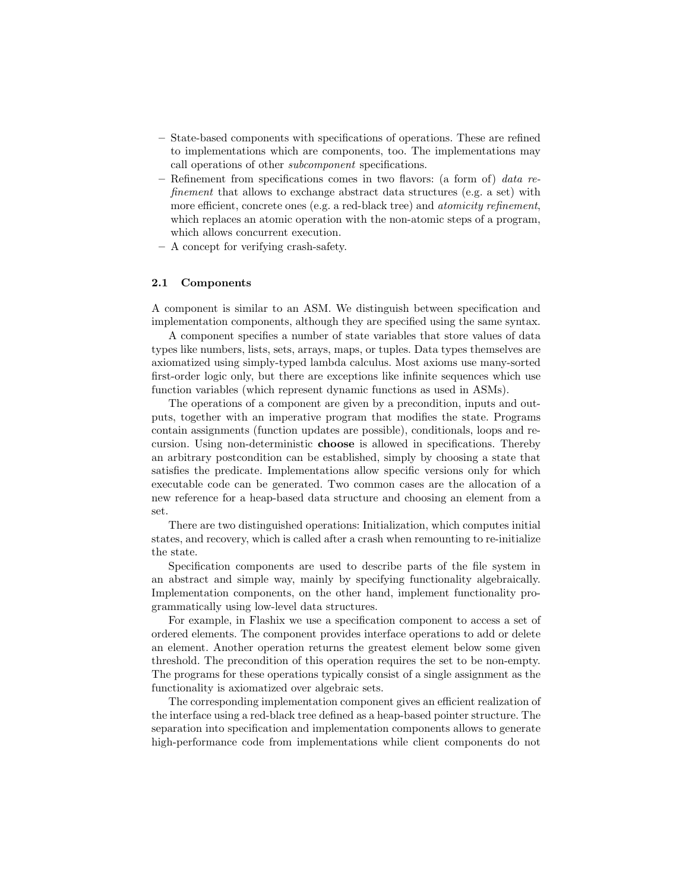- State-based components with specifications of operations. These are refined to implementations which are components, too. The implementations may call operations of other subcomponent specifications.
- Refinement from specifications comes in two flavors: (a form of) data refinement that allows to exchange abstract data structures (e.g. a set) with more efficient, concrete ones (e.g. a red-black tree) and atomicity refinement, which replaces an atomic operation with the non-atomic steps of a program, which allows concurrent execution.
- A concept for verifying crash-safety.

#### 2.1 Components

A component is similar to an ASM. We distinguish between specification and implementation components, although they are specified using the same syntax.

A component specifies a number of state variables that store values of data types like numbers, lists, sets, arrays, maps, or tuples. Data types themselves are axiomatized using simply-typed lambda calculus. Most axioms use many-sorted first-order logic only, but there are exceptions like infinite sequences which use function variables (which represent dynamic functions as used in ASMs).

The operations of a component are given by a precondition, inputs and outputs, together with an imperative program that modifies the state. Programs contain assignments (function updates are possible), conditionals, loops and recursion. Using non-deterministic choose is allowed in specifications. Thereby an arbitrary postcondition can be established, simply by choosing a state that satisfies the predicate. Implementations allow specific versions only for which executable code can be generated. Two common cases are the allocation of a new reference for a heap-based data structure and choosing an element from a set.

There are two distinguished operations: Initialization, which computes initial states, and recovery, which is called after a crash when remounting to re-initialize the state.

Specification components are used to describe parts of the file system in an abstract and simple way, mainly by specifying functionality algebraically. Implementation components, on the other hand, implement functionality programmatically using low-level data structures.

For example, in Flashix we use a specification component to access a set of ordered elements. The component provides interface operations to add or delete an element. Another operation returns the greatest element below some given threshold. The precondition of this operation requires the set to be non-empty. The programs for these operations typically consist of a single assignment as the functionality is axiomatized over algebraic sets.

The corresponding implementation component gives an efficient realization of the interface using a red-black tree defined as a heap-based pointer structure. The separation into specification and implementation components allows to generate high-performance code from implementations while client components do not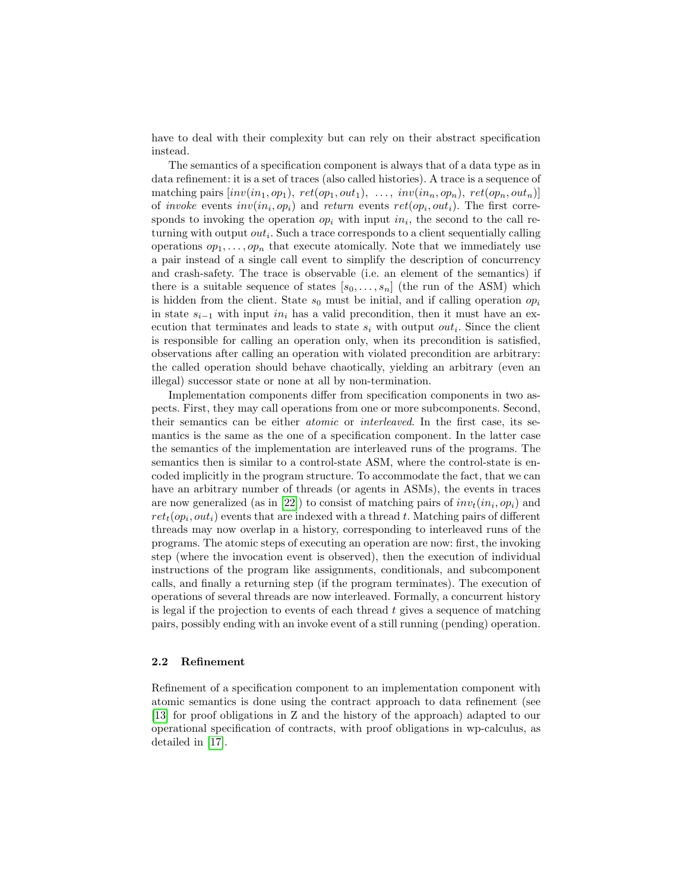have to deal with their complexity but can rely on their abstract specification instead.

The semantics of a specification component is always that of a data type as in data refinement: it is a set of traces (also called histories). A trace is a sequence of matching pairs  $[inv(in_1, op_1), ret(op_1, out_1), ..., inv(in_n, op_n), ret(op_n, out_n)]$ of *invoke* events  $inv(in_i, op_i)$  and *return* events  $ret(op_i, out_i)$ . The first corresponds to invoking the operation  $op_i$  with input  $in_i$ , the second to the call returning with output  $out_i$ . Such a trace corresponds to a client sequentially calling operations  $op_1, \ldots, op_n$  that execute atomically. Note that we immediately use a pair instead of a single call event to simplify the description of concurrency and crash-safety. The trace is observable (i.e. an element of the semantics) if there is a suitable sequence of states  $[s_0, \ldots, s_n]$  (the run of the ASM) which is hidden from the client. State  $s_0$  must be initial, and if calling operation  $op_i$ in state  $s_{i-1}$  with input in<sub>i</sub> has a valid precondition, then it must have an execution that terminates and leads to state  $s_i$  with output  $out_i$ . Since the client is responsible for calling an operation only, when its precondition is satisfied, observations after calling an operation with violated precondition are arbitrary: the called operation should behave chaotically, yielding an arbitrary (even an illegal) successor state or none at all by non-termination.

Implementation components differ from specification components in two aspects. First, they may call operations from one or more subcomponents. Second, their semantics can be either atomic or interleaved. In the first case, its semantics is the same as the one of a specification component. In the latter case the semantics of the implementation are interleaved runs of the programs. The semantics then is similar to a control-state ASM, where the control-state is encoded implicitly in the program structure. To accommodate the fact, that we can have an arbitrary number of threads (or agents in ASMs), the events in traces are now generalized (as in [\[22\]](#page-25-6)) to consist of matching pairs of  $inv_t(in_i, op_i)$  and  $ret_t(op_i, out_i)$  events that are indexed with a thread t. Matching pairs of different threads may now overlap in a history, corresponding to interleaved runs of the programs. The atomic steps of executing an operation are now: first, the invoking step (where the invocation event is observed), then the execution of individual instructions of the program like assignments, conditionals, and subcomponent calls, and finally a returning step (if the program terminates). The execution of operations of several threads are now interleaved. Formally, a concurrent history is legal if the projection to events of each thread  $t$  gives a sequence of matching pairs, possibly ending with an invoke event of a still running (pending) operation.

#### 2.2 Refinement

Refinement of a specification component to an implementation component with atomic semantics is done using the contract approach to data refinement (see [\[13\]](#page-24-6) for proof obligations in Z and the history of the approach) adapted to our operational specification of contracts, with proof obligations in wp-calculus, as detailed in [\[17\]](#page-25-5).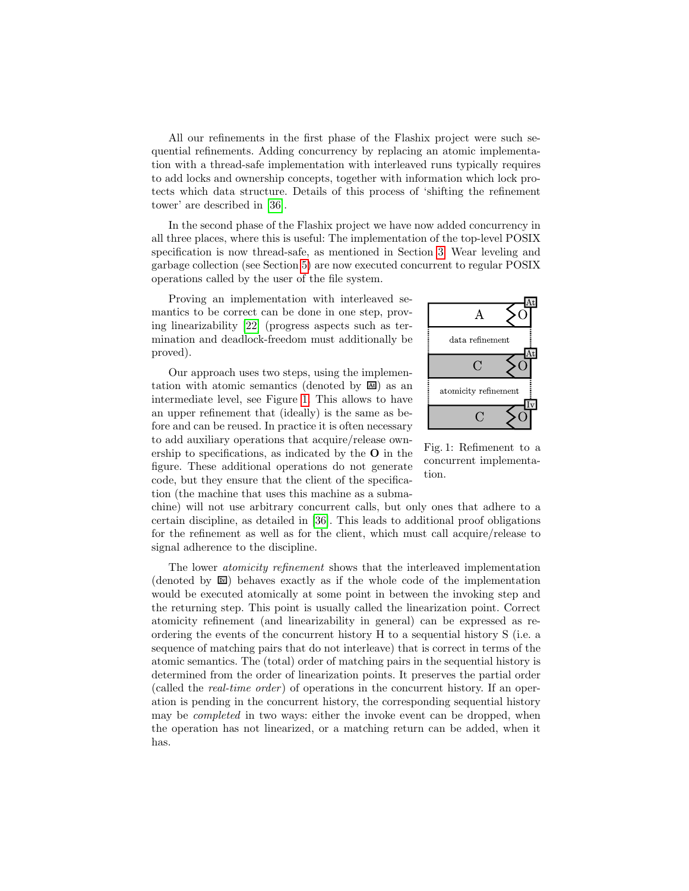All our refinements in the first phase of the Flashix project were such sequential refinements. Adding concurrency by replacing an atomic implementation with a thread-safe implementation with interleaved runs typically requires to add locks and ownership concepts, together with information which lock protects which data structure. Details of this process of 'shifting the refinement tower' are described in [\[36\]](#page-26-6).

In the second phase of the Flashix project we have now added concurrency in all three places, where this is useful: The implementation of the top-level POSIX specification is now thread-safe, as mentioned in Section [3.](#page-8-0) Wear leveling and garbage collection (see Section [5\)](#page-15-0) are now executed concurrent to regular POSIX operations called by the user of the file system.

Proving an implementation with interleaved semantics to be correct can be done in one step, proving linearizability [\[22\]](#page-25-6) (progress aspects such as termination and deadlock-freedom must additionally be proved).

Our approach uses two steps, using the implementation with atomic semantics (denoted by  $\boxtimes$ ) as an intermediate level, see Figure [1.](#page-4-0) This allows to have an upper refinement that (ideally) is the same as before and can be reused. In practice it is often necessary to add auxiliary operations that acquire/release ownership to specifications, as indicated by the O in the figure. These additional operations do not generate code, but they ensure that the client of the specification (the machine that uses this machine as a subma-

<span id="page-4-0"></span>

Fig. 1: Refimenent to a concurrent implementation.

chine) will not use arbitrary concurrent calls, but only ones that adhere to a certain discipline, as detailed in [\[36\]](#page-26-6). This leads to additional proof obligations for the refinement as well as for the client, which must call acquire/release to signal adherence to the discipline.

The lower atomicity refinement shows that the interleaved implementation (denoted by  $\overline{\mathbb{Z}}$ ) behaves exactly as if the whole code of the implementation would be executed atomically at some point in between the invoking step and the returning step. This point is usually called the linearization point. Correct atomicity refinement (and linearizability in general) can be expressed as reordering the events of the concurrent history H to a sequential history S (i.e. a sequence of matching pairs that do not interleave) that is correct in terms of the atomic semantics. The (total) order of matching pairs in the sequential history is determined from the order of linearization points. It preserves the partial order (called the *real-time order*) of operations in the concurrent history. If an operation is pending in the concurrent history, the corresponding sequential history may be *completed* in two ways: either the invoke event can be dropped, when the operation has not linearized, or a matching return can be added, when it has.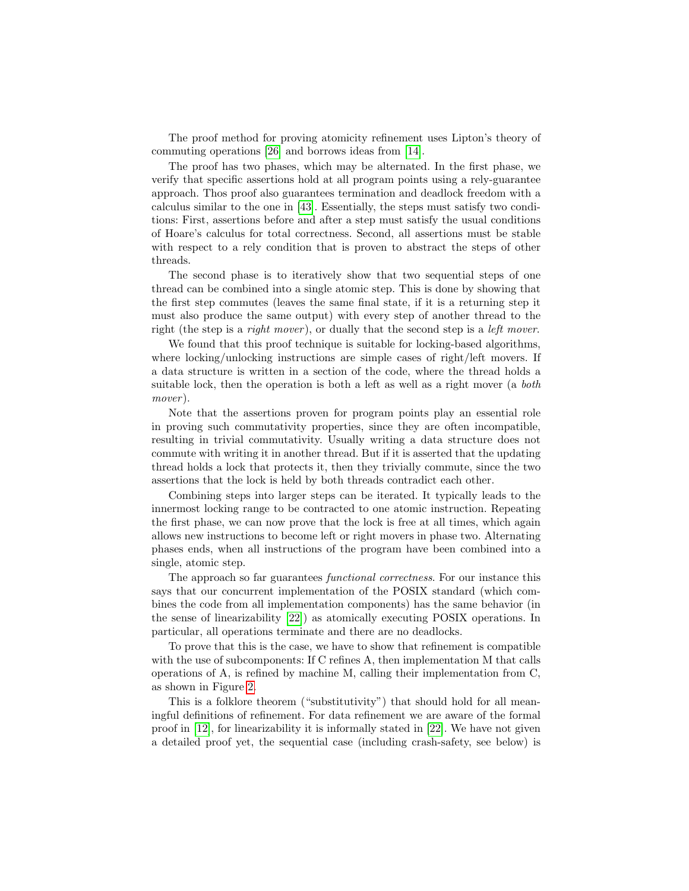The proof method for proving atomicity refinement uses Lipton's theory of commuting operations [\[26\]](#page-25-7) and borrows ideas from [\[14\]](#page-24-7).

The proof has two phases, which may be alternated. In the first phase, we verify that specific assertions hold at all program points using a rely-guarantee approach. Thos proof also guarantees termination and deadlock freedom with a calculus similar to the one in [\[43\]](#page-26-9). Essentially, the steps must satisfy two conditions: First, assertions before and after a step must satisfy the usual conditions of Hoare's calculus for total correctness. Second, all assertions must be stable with respect to a rely condition that is proven to abstract the steps of other threads.

The second phase is to iteratively show that two sequential steps of one thread can be combined into a single atomic step. This is done by showing that the first step commutes (leaves the same final state, if it is a returning step it must also produce the same output) with every step of another thread to the right (the step is a *right mover*), or dually that the second step is a *left mover*.

We found that this proof technique is suitable for locking-based algorithms, where locking/unlocking instructions are simple cases of right/left movers. If a data structure is written in a section of the code, where the thread holds a suitable lock, then the operation is both a left as well as a right mover (a *both* mover).

Note that the assertions proven for program points play an essential role in proving such commutativity properties, since they are often incompatible, resulting in trivial commutativity. Usually writing a data structure does not commute with writing it in another thread. But if it is asserted that the updating thread holds a lock that protects it, then they trivially commute, since the two assertions that the lock is held by both threads contradict each other.

Combining steps into larger steps can be iterated. It typically leads to the innermost locking range to be contracted to one atomic instruction. Repeating the first phase, we can now prove that the lock is free at all times, which again allows new instructions to become left or right movers in phase two. Alternating phases ends, when all instructions of the program have been combined into a single, atomic step.

The approach so far guarantees *functional correctness*. For our instance this says that our concurrent implementation of the POSIX standard (which combines the code from all implementation components) has the same behavior (in the sense of linearizability [\[22\]](#page-25-6)) as atomically executing POSIX operations. In particular, all operations terminate and there are no deadlocks.

To prove that this is the case, we have to show that refinement is compatible with the use of subcomponents: If C refines A, then implementation M that calls operations of A, is refined by machine M, calling their implementation from C, as shown in Figure [2.](#page-6-0)

This is a folklore theorem ("substitutivity") that should hold for all meaningful definitions of refinement. For data refinement we are aware of the formal proof in [\[12\]](#page-24-8), for linearizability it is informally stated in [\[22\]](#page-25-6). We have not given a detailed proof yet, the sequential case (including crash-safety, see below) is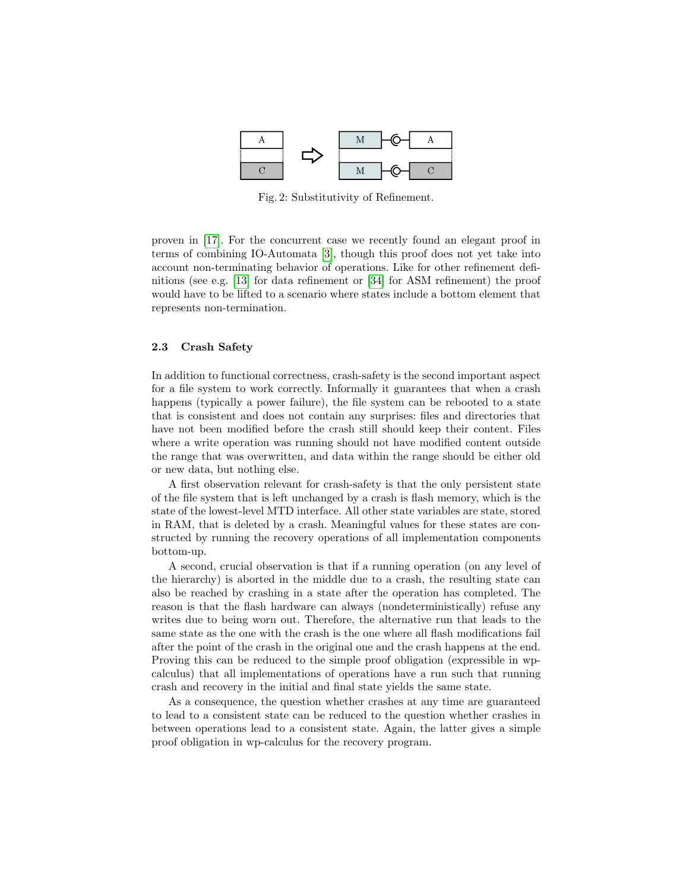<span id="page-6-0"></span>

Fig. 2: Substitutivity of Refinement.

proven in [\[17\]](#page-25-5). For the concurrent case we recently found an elegant proof in terms of combining IO-Automata [\[3\]](#page-24-9), though this proof does not yet take into account non-terminating behavior of operations. Like for other refinement definitions (see e.g. [\[13\]](#page-24-6) for data refinement or [\[34\]](#page-26-1) for ASM refinement) the proof would have to be lifted to a scenario where states include a bottom element that represents non-termination.

#### 2.3 Crash Safety

In addition to functional correctness, crash-safety is the second important aspect for a file system to work correctly. Informally it guarantees that when a crash happens (typically a power failure), the file system can be rebooted to a state that is consistent and does not contain any surprises: files and directories that have not been modified before the crash still should keep their content. Files where a write operation was running should not have modified content outside the range that was overwritten, and data within the range should be either old or new data, but nothing else.

A first observation relevant for crash-safety is that the only persistent state of the file system that is left unchanged by a crash is flash memory, which is the state of the lowest-level MTD interface. All other state variables are state, stored in RAM, that is deleted by a crash. Meaningful values for these states are constructed by running the recovery operations of all implementation components bottom-up.

A second, crucial observation is that if a running operation (on any level of the hierarchy) is aborted in the middle due to a crash, the resulting state can also be reached by crashing in a state after the operation has completed. The reason is that the flash hardware can always (nondeterministically) refuse any writes due to being worn out. Therefore, the alternative run that leads to the same state as the one with the crash is the one where all flash modifications fail after the point of the crash in the original one and the crash happens at the end. Proving this can be reduced to the simple proof obligation (expressible in wpcalculus) that all implementations of operations have a run such that running crash and recovery in the initial and final state yields the same state.

As a consequence, the question whether crashes at any time are guaranteed to lead to a consistent state can be reduced to the question whether crashes in between operations lead to a consistent state. Again, the latter gives a simple proof obligation in wp-calculus for the recovery program.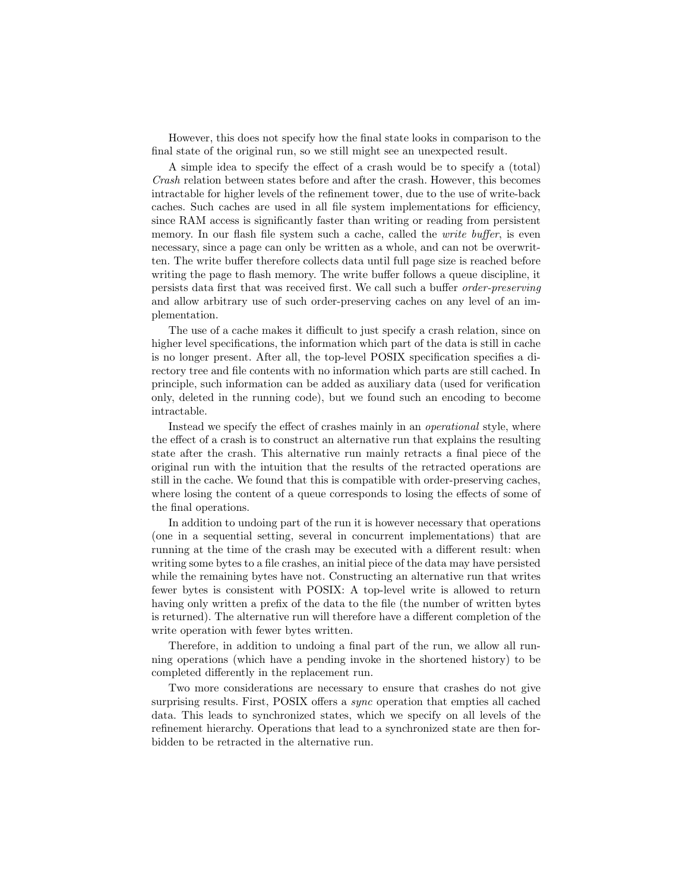However, this does not specify how the final state looks in comparison to the final state of the original run, so we still might see an unexpected result.

A simple idea to specify the effect of a crash would be to specify a (total) Crash relation between states before and after the crash. However, this becomes intractable for higher levels of the refinement tower, due to the use of write-back caches. Such caches are used in all file system implementations for efficiency, since RAM access is significantly faster than writing or reading from persistent memory. In our flash file system such a cache, called the *write buffer*, is even necessary, since a page can only be written as a whole, and can not be overwritten. The write buffer therefore collects data until full page size is reached before writing the page to flash memory. The write buffer follows a queue discipline, it persists data first that was received first. We call such a buffer order-preserving and allow arbitrary use of such order-preserving caches on any level of an implementation.

The use of a cache makes it difficult to just specify a crash relation, since on higher level specifications, the information which part of the data is still in cache is no longer present. After all, the top-level POSIX specification specifies a directory tree and file contents with no information which parts are still cached. In principle, such information can be added as auxiliary data (used for verification only, deleted in the running code), but we found such an encoding to become intractable.

Instead we specify the effect of crashes mainly in an operational style, where the effect of a crash is to construct an alternative run that explains the resulting state after the crash. This alternative run mainly retracts a final piece of the original run with the intuition that the results of the retracted operations are still in the cache. We found that this is compatible with order-preserving caches, where losing the content of a queue corresponds to losing the effects of some of the final operations.

In addition to undoing part of the run it is however necessary that operations (one in a sequential setting, several in concurrent implementations) that are running at the time of the crash may be executed with a different result: when writing some bytes to a file crashes, an initial piece of the data may have persisted while the remaining bytes have not. Constructing an alternative run that writes fewer bytes is consistent with POSIX: A top-level write is allowed to return having only written a prefix of the data to the file (the number of written bytes is returned). The alternative run will therefore have a different completion of the write operation with fewer bytes written.

Therefore, in addition to undoing a final part of the run, we allow all running operations (which have a pending invoke in the shortened history) to be completed differently in the replacement run.

Two more considerations are necessary to ensure that crashes do not give surprising results. First, POSIX offers a *sync* operation that empties all cached data. This leads to synchronized states, which we specify on all levels of the refinement hierarchy. Operations that lead to a synchronized state are then forbidden to be retracted in the alternative run.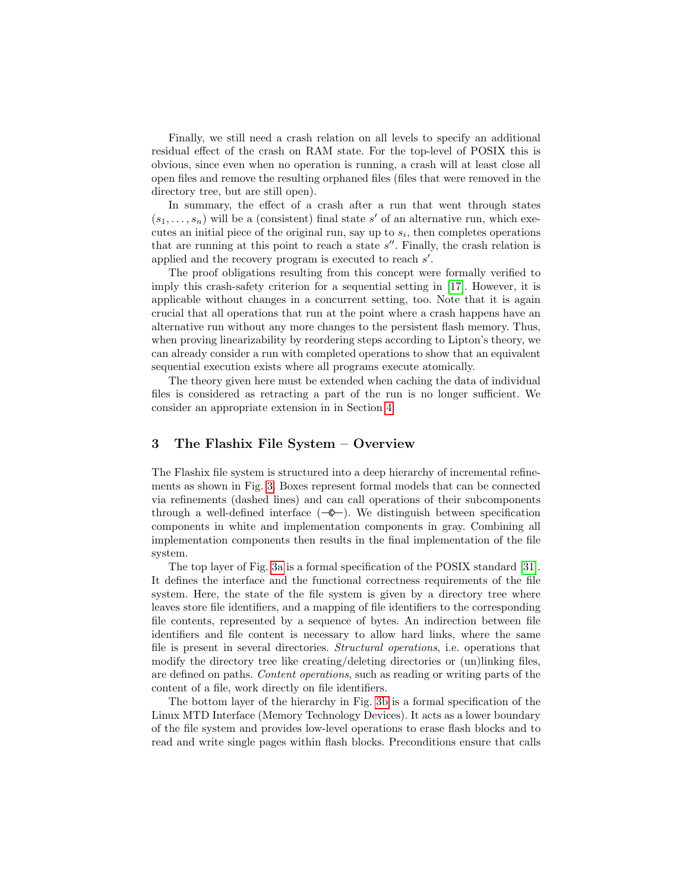Finally, we still need a crash relation on all levels to specify an additional residual effect of the crash on RAM state. For the top-level of POSIX this is obvious, since even when no operation is running, a crash will at least close all open files and remove the resulting orphaned files (files that were removed in the directory tree, but are still open).

In summary, the effect of a crash after a run that went through states  $(s_1, \ldots, s_n)$  will be a (consistent) final state s' of an alternative run, which executes an initial piece of the original run, say up to  $s_i$ , then completes operations that are running at this point to reach a state  $s''$ . Finally, the crash relation is applied and the recovery program is executed to reach  $s'$ .

The proof obligations resulting from this concept were formally verified to imply this crash-safety criterion for a sequential setting in [\[17\]](#page-25-5). However, it is applicable without changes in a concurrent setting, too. Note that it is again crucial that all operations that run at the point where a crash happens have an alternative run without any more changes to the persistent flash memory. Thus, when proving linearizability by reordering steps according to Lipton's theory, we can already consider a run with completed operations to show that an equivalent sequential execution exists where all programs execute atomically.

The theory given here must be extended when caching the data of individual files is considered as retracting a part of the run is no longer sufficient. We consider an appropriate extension in in Section [4.](#page-12-0)

#### <span id="page-8-0"></span>3 The Flashix File System – Overview

The Flashix file system is structured into a deep hierarchy of incremental refinements as shown in Fig. [3.](#page-9-0) Boxes represent formal models that can be connected via refinements (dashed lines) and can call operations of their subcomponents through a well-defined interface  $(-6)$ . We distinguish between specification components in white and implementation components in gray. Combining all implementation components then results in the final implementation of the file system.

The top layer of Fig. [3a](#page-9-0) is a formal specification of the POSIX standard [\[31\]](#page-25-8). It defines the interface and the functional correctness requirements of the file system. Here, the state of the file system is given by a directory tree where leaves store file identifiers, and a mapping of file identifiers to the corresponding file contents, represented by a sequence of bytes. An indirection between file identifiers and file content is necessary to allow hard links, where the same file is present in several directories. Structural operations, i.e. operations that modify the directory tree like creating/deleting directories or (un)linking files, are defined on paths. Content operations, such as reading or writing parts of the content of a file, work directly on file identifiers.

The bottom layer of the hierarchy in Fig. [3b](#page-9-0) is a formal specification of the Linux MTD Interface (Memory Technology Devices). It acts as a lower boundary of the file system and provides low-level operations to erase flash blocks and to read and write single pages within flash blocks. Preconditions ensure that calls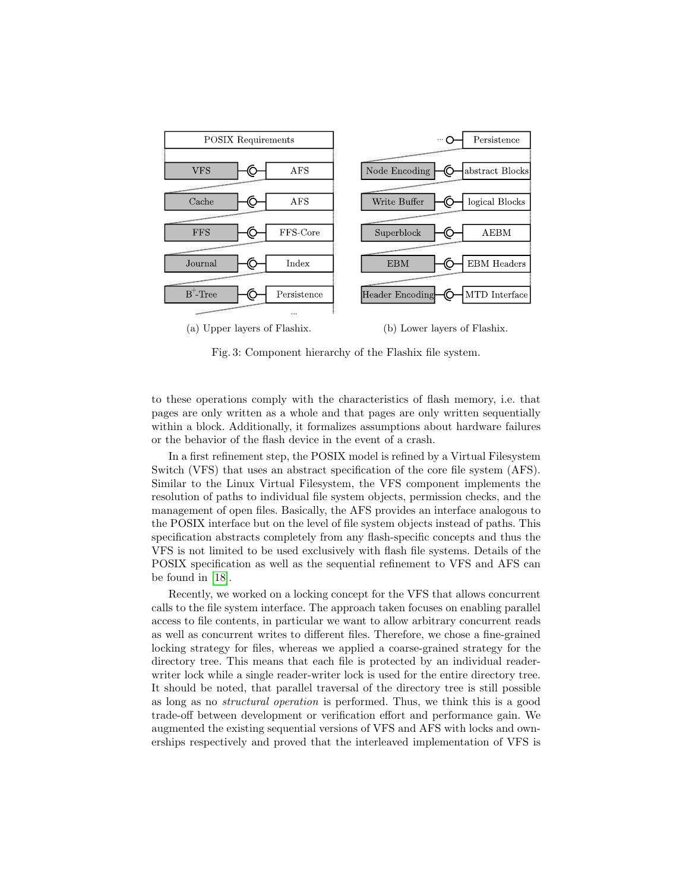<span id="page-9-0"></span>

(a) Upper layers of Flashix. (b) Lower layers of Flashix.

Fig. 3: Component hierarchy of the Flashix file system.

to these operations comply with the characteristics of flash memory, i.e. that pages are only written as a whole and that pages are only written sequentially within a block. Additionally, it formalizes assumptions about hardware failures or the behavior of the flash device in the event of a crash.

In a first refinement step, the POSIX model is refined by a Virtual Filesystem Switch (VFS) that uses an abstract specification of the core file system (AFS). Similar to the Linux Virtual Filesystem, the VFS component implements the resolution of paths to individual file system objects, permission checks, and the management of open files. Basically, the AFS provides an interface analogous to the POSIX interface but on the level of file system objects instead of paths. This specification abstracts completely from any flash-specific concepts and thus the VFS is not limited to be used exclusively with flash file systems. Details of the POSIX specification as well as the sequential refinement to VFS and AFS can be found in [\[18\]](#page-25-9).

Recently, we worked on a locking concept for the VFS that allows concurrent calls to the file system interface. The approach taken focuses on enabling parallel access to file contents, in particular we want to allow arbitrary concurrent reads as well as concurrent writes to different files. Therefore, we chose a fine-grained locking strategy for files, whereas we applied a coarse-grained strategy for the directory tree. This means that each file is protected by an individual readerwriter lock while a single reader-writer lock is used for the entire directory tree. It should be noted, that parallel traversal of the directory tree is still possible as long as no structural operation is performed. Thus, we think this is a good trade-off between development or verification effort and performance gain. We augmented the existing sequential versions of VFS and AFS with locks and ownerships respectively and proved that the interleaved implementation of VFS is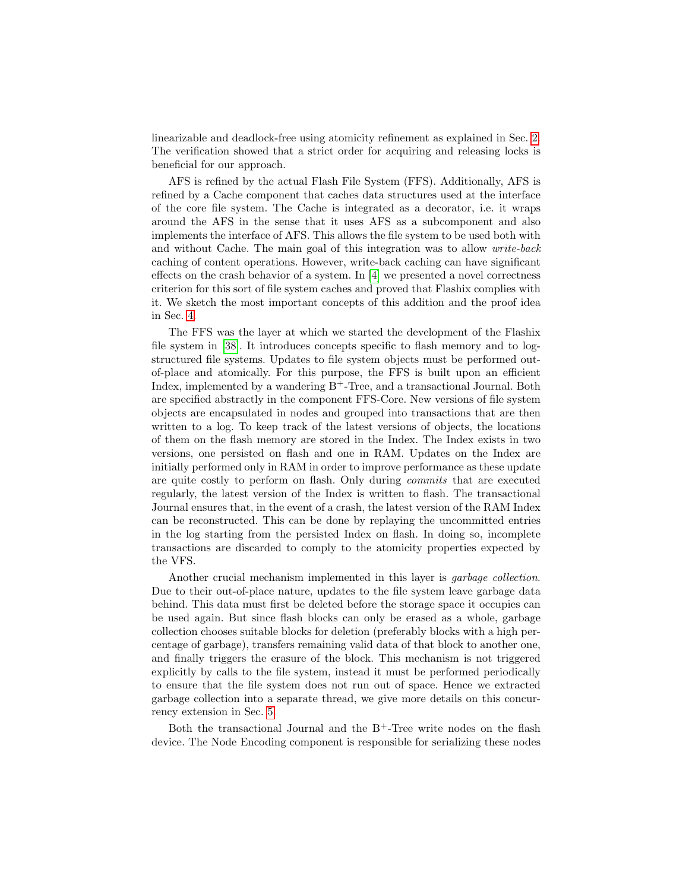linearizable and deadlock-free using atomicity refinement as explained in Sec. [2.](#page-1-0) The verification showed that a strict order for acquiring and releasing locks is beneficial for our approach.

AFS is refined by the actual Flash File System (FFS). Additionally, AFS is refined by a Cache component that caches data structures used at the interface of the core file system. The Cache is integrated as a decorator, i.e. it wraps around the AFS in the sense that it uses AFS as a subcomponent and also implements the interface of AFS. This allows the file system to be used both with and without Cache. The main goal of this integration was to allow *write-back* caching of content operations. However, write-back caching can have significant effects on the crash behavior of a system. In  $[4]$  we presented a novel correctness criterion for this sort of file system caches and proved that Flashix complies with it. We sketch the most important concepts of this addition and the proof idea in Sec. [4.](#page-12-0)

The FFS was the layer at which we started the development of the Flashix file system in [\[38\]](#page-26-10). It introduces concepts specific to flash memory and to logstructured file systems. Updates to file system objects must be performed outof-place and atomically. For this purpose, the FFS is built upon an efficient Index, implemented by a wandering  $B^+$ -Tree, and a transactional Journal. Both are specified abstractly in the component FFS-Core. New versions of file system objects are encapsulated in nodes and grouped into transactions that are then written to a log. To keep track of the latest versions of objects, the locations of them on the flash memory are stored in the Index. The Index exists in two versions, one persisted on flash and one in RAM. Updates on the Index are initially performed only in RAM in order to improve performance as these update are quite costly to perform on flash. Only during commits that are executed regularly, the latest version of the Index is written to flash. The transactional Journal ensures that, in the event of a crash, the latest version of the RAM Index can be reconstructed. This can be done by replaying the uncommitted entries in the log starting from the persisted Index on flash. In doing so, incomplete transactions are discarded to comply to the atomicity properties expected by the VFS.

Another crucial mechanism implemented in this layer is garbage collection. Due to their out-of-place nature, updates to the file system leave garbage data behind. This data must first be deleted before the storage space it occupies can be used again. But since flash blocks can only be erased as a whole, garbage collection chooses suitable blocks for deletion (preferably blocks with a high percentage of garbage), transfers remaining valid data of that block to another one, and finally triggers the erasure of the block. This mechanism is not triggered explicitly by calls to the file system, instead it must be performed periodically to ensure that the file system does not run out of space. Hence we extracted garbage collection into a separate thread, we give more details on this concurrency extension in Sec. [5.](#page-15-0)

Both the transactional Journal and the  $B^+$ -Tree write nodes on the flash device. The Node Encoding component is responsible for serializing these nodes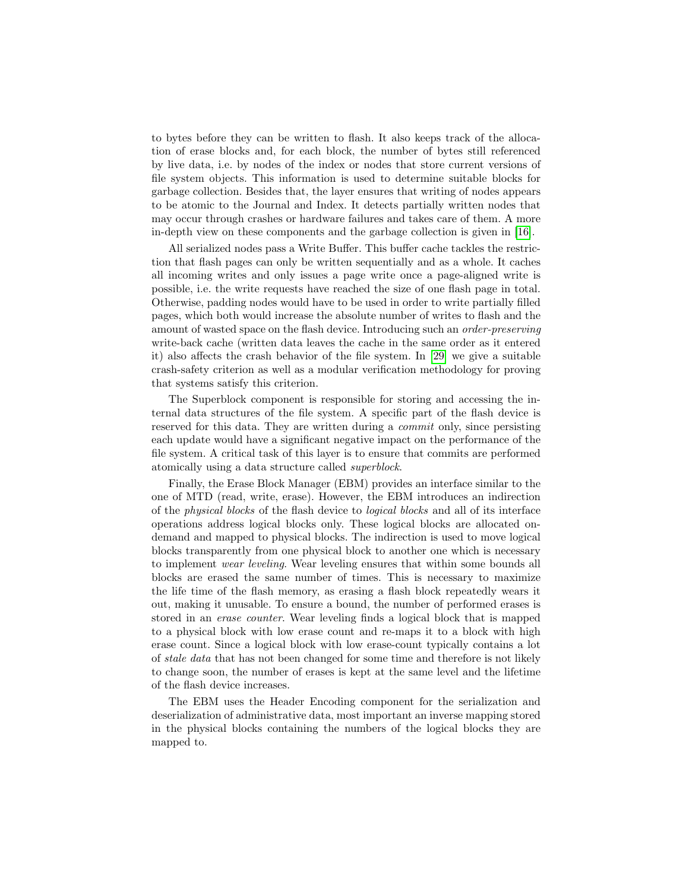to bytes before they can be written to flash. It also keeps track of the allocation of erase blocks and, for each block, the number of bytes still referenced by live data, i.e. by nodes of the index or nodes that store current versions of file system objects. This information is used to determine suitable blocks for garbage collection. Besides that, the layer ensures that writing of nodes appears to be atomic to the Journal and Index. It detects partially written nodes that may occur through crashes or hardware failures and takes care of them. A more in-depth view on these components and the garbage collection is given in [\[16\]](#page-25-10).

All serialized nodes pass a Write Buffer. This buffer cache tackles the restriction that flash pages can only be written sequentially and as a whole. It caches all incoming writes and only issues a page write once a page-aligned write is possible, i.e. the write requests have reached the size of one flash page in total. Otherwise, padding nodes would have to be used in order to write partially filled pages, which both would increase the absolute number of writes to flash and the amount of wasted space on the flash device. Introducing such an order-preserving write-back cache (written data leaves the cache in the same order as it entered it) also affects the crash behavior of the file system. In [\[29\]](#page-25-11) we give a suitable crash-safety criterion as well as a modular verification methodology for proving that systems satisfy this criterion.

The Superblock component is responsible for storing and accessing the internal data structures of the file system. A specific part of the flash device is reserved for this data. They are written during a commit only, since persisting each update would have a significant negative impact on the performance of the file system. A critical task of this layer is to ensure that commits are performed atomically using a data structure called superblock.

Finally, the Erase Block Manager (EBM) provides an interface similar to the one of MTD (read, write, erase). However, the EBM introduces an indirection of the physical blocks of the flash device to logical blocks and all of its interface operations address logical blocks only. These logical blocks are allocated ondemand and mapped to physical blocks. The indirection is used to move logical blocks transparently from one physical block to another one which is necessary to implement wear leveling. Wear leveling ensures that within some bounds all blocks are erased the same number of times. This is necessary to maximize the life time of the flash memory, as erasing a flash block repeatedly wears it out, making it unusable. To ensure a bound, the number of performed erases is stored in an erase counter. Wear leveling finds a logical block that is mapped to a physical block with low erase count and re-maps it to a block with high erase count. Since a logical block with low erase-count typically contains a lot of stale data that has not been changed for some time and therefore is not likely to change soon, the number of erases is kept at the same level and the lifetime of the flash device increases.

The EBM uses the Header Encoding component for the serialization and deserialization of administrative data, most important an inverse mapping stored in the physical blocks containing the numbers of the logical blocks they are mapped to.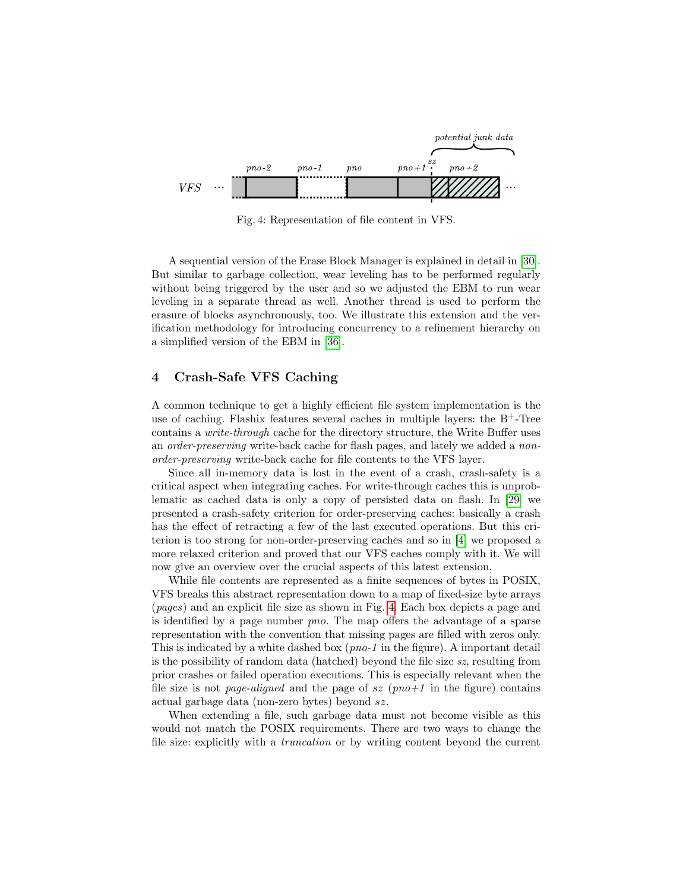<span id="page-12-1"></span>

Fig. 4: Representation of file content in VFS.

A sequential version of the Erase Block Manager is explained in detail in [\[30\]](#page-25-12). But similar to garbage collection, wear leveling has to be performed regularly without being triggered by the user and so we adjusted the EBM to run wear leveling in a separate thread as well. Another thread is used to perform the erasure of blocks asynchronously, too. We illustrate this extension and the verification methodology for introducing concurrency to a refinement hierarchy on a simplified version of the EBM in [\[36\]](#page-26-6).

## <span id="page-12-0"></span>4 Crash-Safe VFS Caching

A common technique to get a highly efficient file system implementation is the use of caching. Flashix features several caches in multiple layers: the  $B^+$ -Tree contains a write-through cache for the directory structure, the Write Buffer uses an order-preserving write-back cache for flash pages, and lately we added a nonorder-preserving write-back cache for file contents to the VFS layer.

Since all in-memory data is lost in the event of a crash, crash-safety is a critical aspect when integrating caches. For write-through caches this is unproblematic as cached data is only a copy of persisted data on flash. In [\[29\]](#page-25-11) we presented a crash-safety criterion for order-preserving caches: basically a crash has the effect of retracting a few of the last executed operations. But this criterion is too strong for non-order-preserving caches and so in [\[4\]](#page-24-5) we proposed a more relaxed criterion and proved that our VFS caches comply with it. We will now give an overview over the crucial aspects of this latest extension.

While file contents are represented as a finite sequences of bytes in POSIX, VFS breaks this abstract representation down to a map of fixed-size byte arrays (pages) and an explicit file size as shown in Fig. [4.](#page-12-1) Each box depicts a page and is identified by a page number pno. The map offers the advantage of a sparse representation with the convention that missing pages are filled with zeros only. This is indicated by a white dashed box  $(pno-1)$  in the figure). A important detail is the possibility of random data (hatched) beyond the file size sz, resulting from prior crashes or failed operation executions. This is especially relevant when the file size is not page-aligned and the page of  $sz$  (pno+1 in the figure) contains actual garbage data (non-zero bytes) beyond sz.

When extending a file, such garbage data must not become visible as this would not match the POSIX requirements. There are two ways to change the file size: explicitly with a truncation or by writing content beyond the current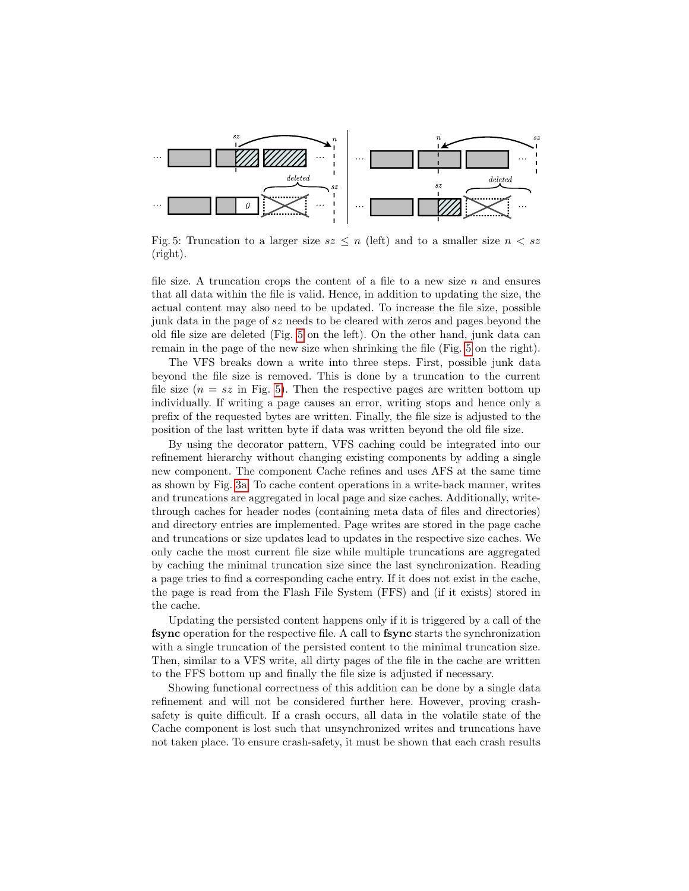<span id="page-13-0"></span>

Fig. 5: Truncation to a larger size  $sz \leq n$  (left) and to a smaller size  $n < sz$ (right).

file size. A truncation crops the content of a file to a new size  $n$  and ensures that all data within the file is valid. Hence, in addition to updating the size, the actual content may also need to be updated. To increase the file size, possible junk data in the page of sz needs to be cleared with zeros and pages beyond the old file size are deleted (Fig. [5](#page-13-0) on the left). On the other hand, junk data can remain in the page of the new size when shrinking the file (Fig. [5](#page-13-0) on the right).

The VFS breaks down a write into three steps. First, possible junk data beyond the file size is removed. This is done by a truncation to the current file size  $(n = sz$  in Fig. [5\)](#page-13-0). Then the respective pages are written bottom up individually. If writing a page causes an error, writing stops and hence only a prefix of the requested bytes are written. Finally, the file size is adjusted to the position of the last written byte if data was written beyond the old file size.

By using the decorator pattern, VFS caching could be integrated into our refinement hierarchy without changing existing components by adding a single new component. The component Cache refines and uses AFS at the same time as shown by Fig. [3a.](#page-9-0) To cache content operations in a write-back manner, writes and truncations are aggregated in local page and size caches. Additionally, writethrough caches for header nodes (containing meta data of files and directories) and directory entries are implemented. Page writes are stored in the page cache and truncations or size updates lead to updates in the respective size caches. We only cache the most current file size while multiple truncations are aggregated by caching the minimal truncation size since the last synchronization. Reading a page tries to find a corresponding cache entry. If it does not exist in the cache, the page is read from the Flash File System (FFS) and (if it exists) stored in the cache.

Updating the persisted content happens only if it is triggered by a call of the fsync operation for the respective file. A call to fsync starts the synchronization with a single truncation of the persisted content to the minimal truncation size. Then, similar to a VFS write, all dirty pages of the file in the cache are written to the FFS bottom up and finally the file size is adjusted if necessary.

Showing functional correctness of this addition can be done by a single data refinement and will not be considered further here. However, proving crashsafety is quite difficult. If a crash occurs, all data in the volatile state of the Cache component is lost such that unsynchronized writes and truncations have not taken place. To ensure crash-safety, it must be shown that each crash results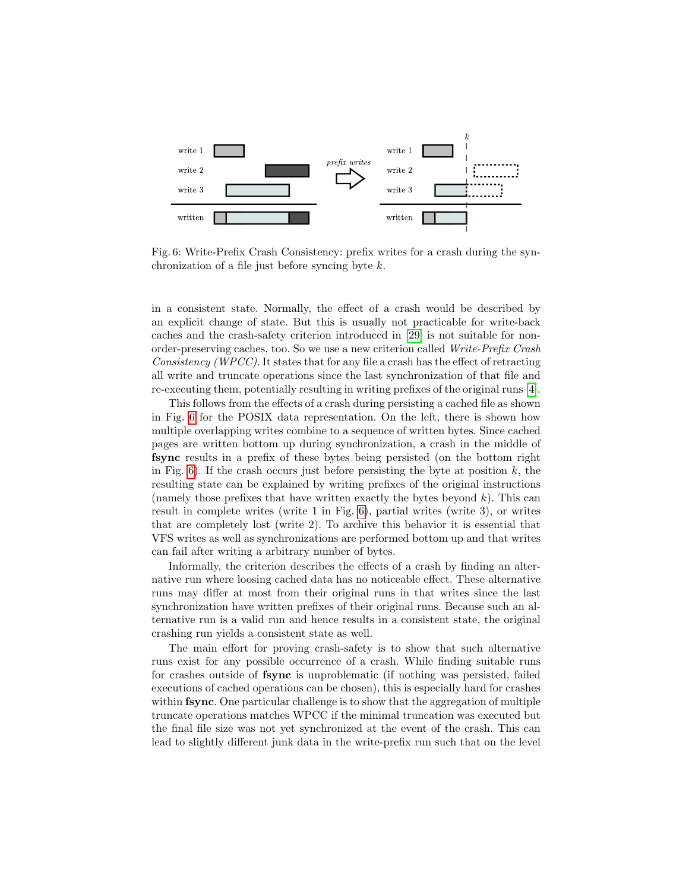<span id="page-14-0"></span>

Fig. 6: Write-Prefix Crash Consistency: prefix writes for a crash during the synchronization of a file just before syncing byte  $k$ .

in a consistent state. Normally, the effect of a crash would be described by an explicit change of state. But this is usually not practicable for write-back caches and the crash-safety criterion introduced in [\[29\]](#page-25-11) is not suitable for nonorder-preserving caches, too. So we use a new criterion called Write-Prefix Crash Consistency (WPCC). It states that for any file a crash has the effect of retracting all write and truncate operations since the last synchronization of that file and re-executing them, potentially resulting in writing prefixes of the original runs [\[4\]](#page-24-5).

This follows from the effects of a crash during persisting a cached file as shown in Fig. [6](#page-14-0) for the POSIX data representation. On the left, there is shown how multiple overlapping writes combine to a sequence of written bytes. Since cached pages are written bottom up during synchronization, a crash in the middle of fsync results in a prefix of these bytes being persisted (on the bottom right in Fig. [6\)](#page-14-0). If the crash occurs just before persisting the byte at position  $k$ , the resulting state can be explained by writing prefixes of the original instructions (namely those prefixes that have written exactly the bytes beyond  $k$ ). This can result in complete writes (write 1 in Fig. [6\)](#page-14-0), partial writes (write 3), or writes that are completely lost (write 2). To archive this behavior it is essential that VFS writes as well as synchronizations are performed bottom up and that writes can fail after writing a arbitrary number of bytes.

Informally, the criterion describes the effects of a crash by finding an alternative run where loosing cached data has no noticeable effect. These alternative runs may differ at most from their original runs in that writes since the last synchronization have written prefixes of their original runs. Because such an alternative run is a valid run and hence results in a consistent state, the original crashing run yields a consistent state as well.

The main effort for proving crash-safety is to show that such alternative runs exist for any possible occurrence of a crash. While finding suitable runs for crashes outside of fsync is unproblematic (if nothing was persisted, failed executions of cached operations can be chosen), this is especially hard for crashes within **fsync**. One particular challenge is to show that the aggregation of multiple truncate operations matches WPCC if the minimal truncation was executed but the final file size was not yet synchronized at the event of the crash. This can lead to slightly different junk data in the write-prefix run such that on the level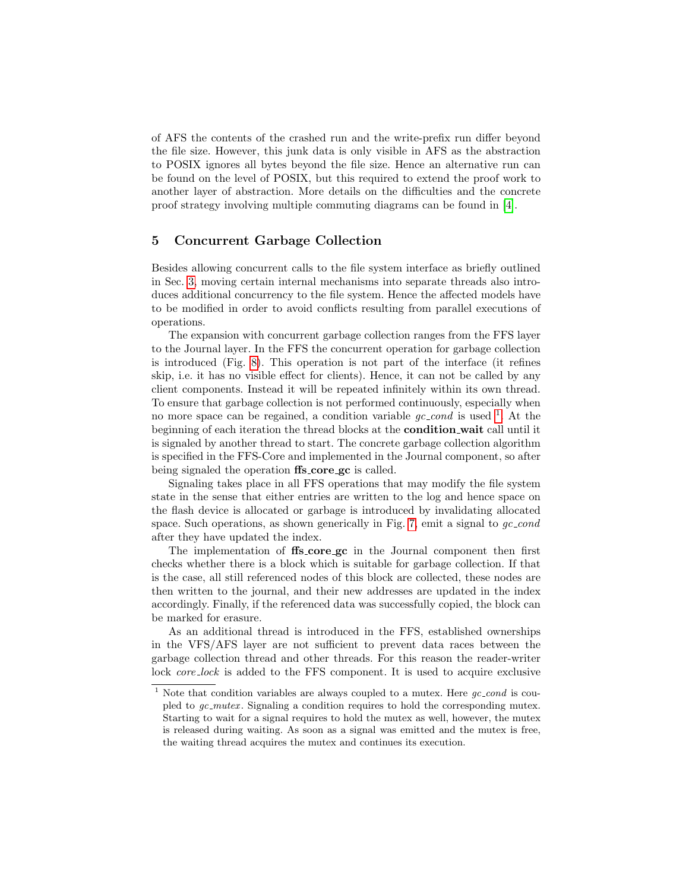of AFS the contents of the crashed run and the write-prefix run differ beyond the file size. However, this junk data is only visible in AFS as the abstraction to POSIX ignores all bytes beyond the file size. Hence an alternative run can be found on the level of POSIX, but this required to extend the proof work to another layer of abstraction. More details on the difficulties and the concrete proof strategy involving multiple commuting diagrams can be found in [\[4\]](#page-24-5).

## <span id="page-15-0"></span>5 Concurrent Garbage Collection

Besides allowing concurrent calls to the file system interface as briefly outlined in Sec. [3,](#page-8-0) moving certain internal mechanisms into separate threads also introduces additional concurrency to the file system. Hence the affected models have to be modified in order to avoid conflicts resulting from parallel executions of operations.

The expansion with concurrent garbage collection ranges from the FFS layer to the Journal layer. In the FFS the concurrent operation for garbage collection is introduced (Fig. [8\)](#page-16-0). This operation is not part of the interface (it refines skip, i.e. it has no visible effect for clients). Hence, it can not be called by any client components. Instead it will be repeated infinitely within its own thread. To ensure that garbage collection is not performed continuously, especially when no more space can be regained, a condition variable  $gc\_{cond}$  is used <sup>[1](#page-15-1)</sup>. At the beginning of each iteration the thread blocks at the condition wait call until it is signaled by another thread to start. The concrete garbage collection algorithm is specified in the FFS-Core and implemented in the Journal component, so after being signaled the operation ffs core gc is called.

Signaling takes place in all FFS operations that may modify the file system state in the sense that either entries are written to the log and hence space on the flash device is allocated or garbage is introduced by invalidating allocated space. Such operations, as shown generically in Fig. [7,](#page-16-0) emit a signal to  $gc\_{cond}$ after they have updated the index.

The implementation of ffs\_core\_gc in the Journal component then first checks whether there is a block which is suitable for garbage collection. If that is the case, all still referenced nodes of this block are collected, these nodes are then written to the journal, and their new addresses are updated in the index accordingly. Finally, if the referenced data was successfully copied, the block can be marked for erasure.

As an additional thread is introduced in the FFS, established ownerships in the VFS/AFS layer are not sufficient to prevent data races between the garbage collection thread and other threads. For this reason the reader-writer lock *core lock* is added to the FFS component. It is used to acquire exclusive

<span id="page-15-1"></span><sup>&</sup>lt;sup>1</sup> Note that condition variables are always coupled to a mutex. Here  $qc\text{-}cond$  is coupled to *gc\_mutex*. Signaling a condition requires to hold the corresponding mutex. Starting to wait for a signal requires to hold the mutex as well, however, the mutex is released during waiting. As soon as a signal was emitted and the mutex is free, the waiting thread acquires the mutex and continues its execution.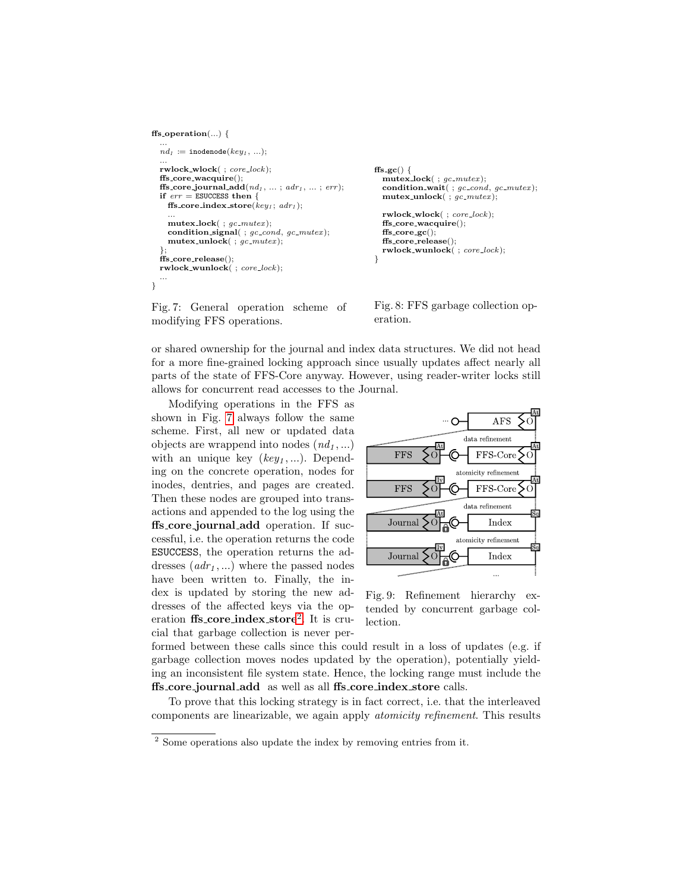```
ffs_operation(...) {
  ...
  nd_1 := \texttt{inodencode}(key_1, ...);
  ...
  rwlock wlock( ; core lock);
  ffs core wacquire();
  ffs_core_journal_add(nd_1, ...; adr_1, ...; err);
  if err = ESUCCESS then {
    ffs_core_index_store(key_1; adr_1);
    ...
    mutex\_lock( ; g.c\_mutex);condition signal(; gc\_{cond,~gc\_{mutex}});
    mutex_unlock(; gc\_m \text{u}tex);
  };
ffs core release();
  rwlock wunlock( ; core lock);
  ...
}
```
 $\mathbf{ffs}\text{-}\mathbf{gc}()$  {  $\begin{align*} \textbf{mutes\_lock}(&;gc\_mutex); \ \textbf{condition\_wait}(&;gc\_cond, gc\_mutex); \end{align*}$  $mutex\_unlock($ ;  $gc\_mutex$ ); rwlock wlock( ; core lock); ffs core wacquire(); ffs core gc(); ffs core release(); rwlock wunlock( ; core lock); }

Fig. 7: General operation scheme of modifying FFS operations.

Fig. 8: FFS garbage collection operation.

or shared ownership for the journal and index data structures. We did not head for a more fine-grained locking approach since usually updates affect nearly all parts of the state of FFS-Core anyway. However, using reader-writer locks still allows for concurrent read accesses to the Journal.

Modifying operations in the FFS as shown in Fig. [7](#page-16-0) always follow the same scheme. First, all new or updated data objects are wrappend into nodes  $(nd_1, ...)$ with an unique key  $(key_1, ...)$ . Depending on the concrete operation, nodes for inodes, dentries, and pages are created. Then these nodes are grouped into transactions and appended to the log using the ffs core journal add operation. If successful, i.e. the operation returns the code ESUCCESS, the operation returns the addresses  $(adr_1, \ldots)$  where the passed nodes have been written to. Finally, the index is updated by storing the new addresses of the affected keys via the op-eration ffs\_core\_index\_store<sup>[2](#page-16-1)</sup>. It is crucial that garbage collection is never per-

<span id="page-16-2"></span>

Fig. 9: Refinement hierarchy extended by concurrent garbage collection.

formed between these calls since this could result in a loss of updates (e.g. if garbage collection moves nodes updated by the operation), potentially yielding an inconsistent file system state. Hence, the locking range must include the ffs core journal add as well as all ffs core index store calls.

To prove that this locking strategy is in fact correct, i.e. that the interleaved components are linearizable, we again apply atomicity refinement. This results

<span id="page-16-1"></span><sup>2</sup> Some operations also update the index by removing entries from it.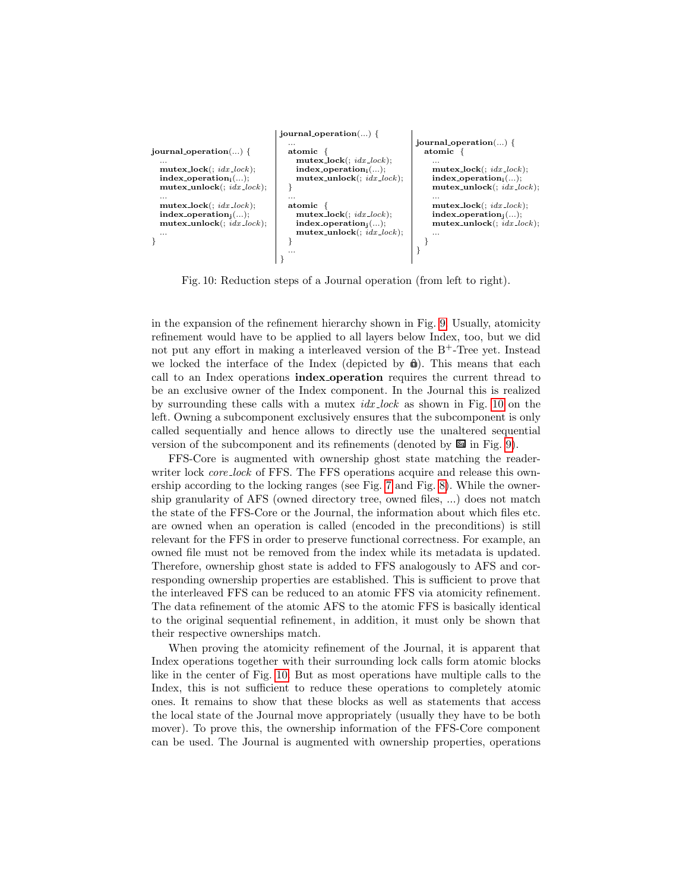<span id="page-17-0"></span>

| \n $\begin{array}{c}\n$ \n $\begin{array}{c}\n$ \n $\begin{array}{c}\n$ \n $\begin{array}{c}\n$ \n $\begin{array}{c}\n$ \n $\begin{array}{c}\n$ \n $\begin{array}{c}\n$ \n $\begin{array}{c}\n$ \n $\begin{array}{c}\n$ \n $\begin{array}{c}\n$ \n $\begin{array}{c}\n$ \n $\begin{array}{c}\n$ \n $\begin{array}{c}\n$ \n $\begin{array}{c}\n$ \n $\begin{array}{c}\n$ \n $\begin{array}{c}\n$ \n $\begin{array}{c}\n$ \n $\begin{array}{c}\n$ \n $\begin{array}{c}\n$ \n $\begin{array}{c}\n$ \n $\begin{array}{c}\n$ \n $\begin{array}{c}\n$ \n $\begin{array}{c}\n$ \n $\begin{array}{c}\n$ \n $\begin{array}{c}\n$ \n $\begin{array}{c}\n$ \n $\begin{array}{c}\n$ \n $\begin{array}{c}\n$ \n $\begin{array}{c}\n$ \n $\begin{array}{c}\n$ \n $\begin{array}{c}\n$ \n $\begin{array}{c}\n$ \n $\begin{array}{c}\n$ \n $\begin{array}{c}\n$ \n $\begin{array}{c}\n$ \n $\begin{array}{c}\n$ \n $\begin{array}{c}\n$ \n $\begin{array}{c}\n$ \n $\begin{array}{c}\n$ \n $\begin{array}{c}\n$ \n $\begin{array}{c}\n$ \n $\begin{array}{c}\n$ \n $\begin{array}{c}\n$ \n $\begin{array}{c}\n$ \n<math display="block</td> |
|-----------------------------------------------------------------------------------------------------------------------------------------------------------------------------------------------------------------------------------------------------------------------------------------------------------------------------------------------------------------------------------------------------------------------------------------------------------------------------------------------------------------------------------------------------------------------------------------------------------------------------------------------------------------------------------------------------------------------------------------------------------------------------------------------------------------------------------------------------------------------------------------------------------------------------------------------------------------------------------------------------------------------------------------------------------------------------------------------------------------------------|
|-----------------------------------------------------------------------------------------------------------------------------------------------------------------------------------------------------------------------------------------------------------------------------------------------------------------------------------------------------------------------------------------------------------------------------------------------------------------------------------------------------------------------------------------------------------------------------------------------------------------------------------------------------------------------------------------------------------------------------------------------------------------------------------------------------------------------------------------------------------------------------------------------------------------------------------------------------------------------------------------------------------------------------------------------------------------------------------------------------------------------------|

Fig. 10: Reduction steps of a Journal operation (from left to right).

in the expansion of the refinement hierarchy shown in Fig. [9.](#page-16-2) Usually, atomicity refinement would have to be applied to all layers below Index, too, but we did not put any effort in making a interleaved version of the  $B^+$ -Tree yet. Instead we locked the interface of the Index (depicted by  $\hat{\mathbf{a}}$ ). This means that each call to an Index operations index operation requires the current thread to be an exclusive owner of the Index component. In the Journal this is realized by surrounding these calls with a mutex  $idx\_lock$  as shown in Fig. [10](#page-17-0) on the left. Owning a subcomponent exclusively ensures that the subcomponent is only called sequentially and hence allows to directly use the unaltered sequential version of the subcomponent and its refinements (denoted by  $\mathbb{S}$  in Fig. [9\)](#page-16-2).

FFS-Core is augmented with ownership ghost state matching the readerwriter lock *core lock* of FFS. The FFS operations acquire and release this ownership according to the locking ranges (see Fig. [7](#page-16-0) and Fig. [8\)](#page-16-0). While the ownership granularity of AFS (owned directory tree, owned files, ...) does not match the state of the FFS-Core or the Journal, the information about which files etc. are owned when an operation is called (encoded in the preconditions) is still relevant for the FFS in order to preserve functional correctness. For example, an owned file must not be removed from the index while its metadata is updated. Therefore, ownership ghost state is added to FFS analogously to AFS and corresponding ownership properties are established. This is sufficient to prove that the interleaved FFS can be reduced to an atomic FFS via atomicity refinement. The data refinement of the atomic AFS to the atomic FFS is basically identical to the original sequential refinement, in addition, it must only be shown that their respective ownerships match.

When proving the atomicity refinement of the Journal, it is apparent that Index operations together with their surrounding lock calls form atomic blocks like in the center of Fig. [10.](#page-17-0) But as most operations have multiple calls to the Index, this is not sufficient to reduce these operations to completely atomic ones. It remains to show that these blocks as well as statements that access the local state of the Journal move appropriately (usually they have to be both mover). To prove this, the ownership information of the FFS-Core component can be used. The Journal is augmented with ownership properties, operations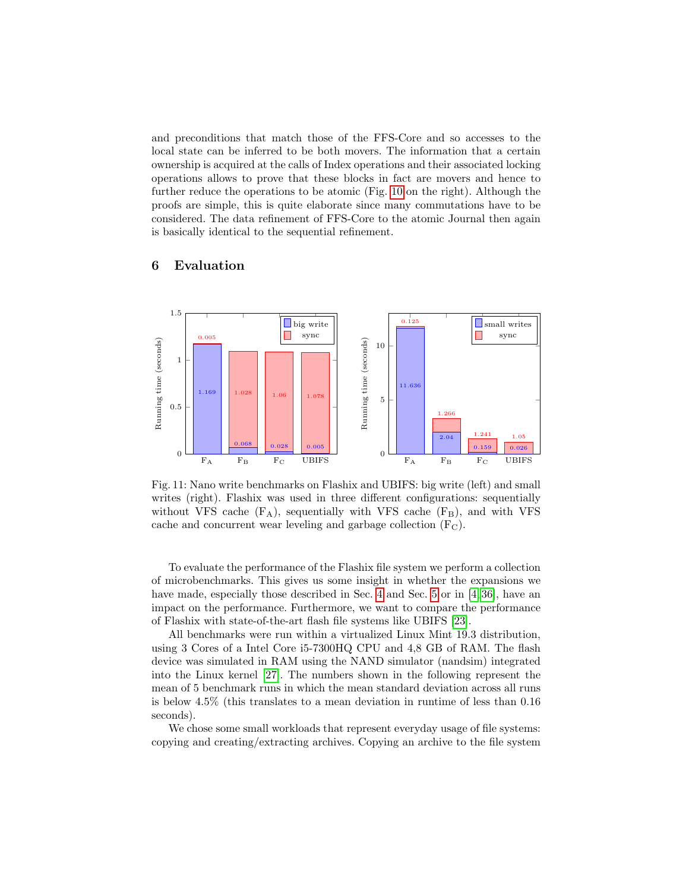and preconditions that match those of the FFS-Core and so accesses to the local state can be inferred to be both movers. The information that a certain ownership is acquired at the calls of Index operations and their associated locking operations allows to prove that these blocks in fact are movers and hence to further reduce the operations to be atomic (Fig. [10](#page-17-0) on the right). Although the proofs are simple, this is quite elaborate since many commutations have to be considered. The data refinement of FFS-Core to the atomic Journal then again is basically identical to the sequential refinement.

<span id="page-18-1"></span>

#### <span id="page-18-0"></span>6 Evaluation

Fig. 11: Nano write benchmarks on Flashix and UBIFS: big write (left) and small writes (right). Flashix was used in three different configurations: sequentially without VFS cache  $(F_A)$ , sequentially with VFS cache  $(F_B)$ , and with VFS cache and concurrent wear leveling and garbage collection  $(F_C)$ .

To evaluate the performance of the Flashix file system we perform a collection of microbenchmarks. This gives us some insight in whether the expansions we have made, especially those described in Sec. [4](#page-12-0) and Sec. [5](#page-15-0) or in [\[4,](#page-24-5) [36\]](#page-26-6), have an impact on the performance. Furthermore, we want to compare the performance of Flashix with state-of-the-art flash file systems like UBIFS [\[23\]](#page-25-13).

All benchmarks were run within a virtualized Linux Mint 19.3 distribution, using 3 Cores of a Intel Core i5-7300HQ CPU and 4,8 GB of RAM. The flash device was simulated in RAM using the NAND simulator (nandsim) integrated into the Linux kernel [\[27\]](#page-25-14). The numbers shown in the following represent the mean of 5 benchmark runs in which the mean standard deviation across all runs is below 4.5% (this translates to a mean deviation in runtime of less than 0.16 seconds).

We chose some small workloads that represent everyday usage of file systems: copying and creating/extracting archives. Copying an archive to the file system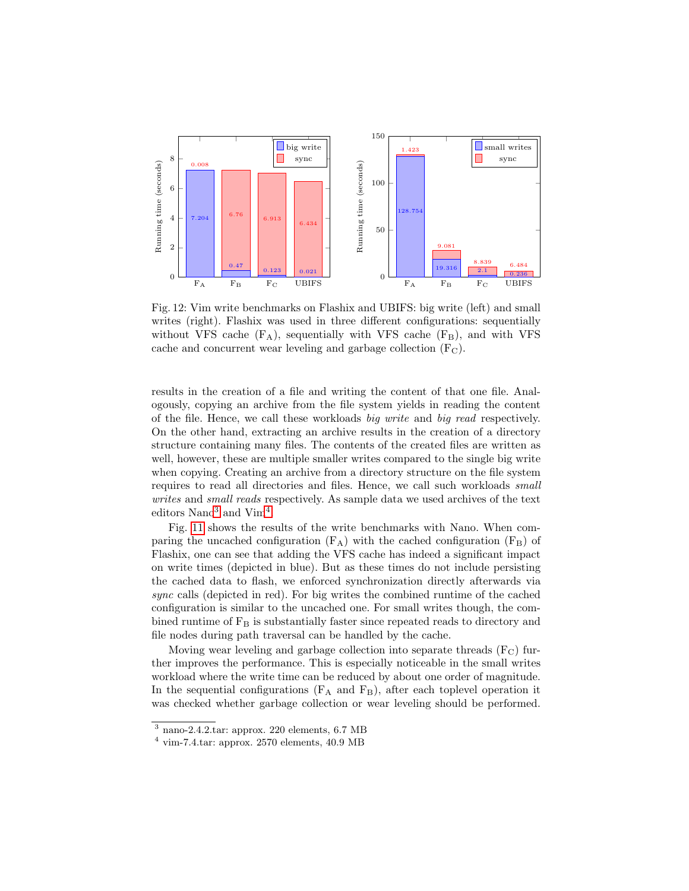<span id="page-19-2"></span>

Fig. 12: Vim write benchmarks on Flashix and UBIFS: big write (left) and small writes (right). Flashix was used in three different configurations: sequentially without VFS cache  $(F_A)$ , sequentially with VFS cache  $(F_B)$ , and with VFS cache and concurrent wear leveling and garbage collection  $(F_C)$ .

results in the creation of a file and writing the content of that one file. Analogously, copying an archive from the file system yields in reading the content of the file. Hence, we call these workloads big write and big read respectively. On the other hand, extracting an archive results in the creation of a directory structure containing many files. The contents of the created files are written as well, however, these are multiple smaller writes compared to the single big write when copying. Creating an archive from a directory structure on the file system requires to read all directories and files. Hence, we call such workloads small writes and small reads respectively. As sample data we used archives of the text editors Nano<sup>[3](#page-19-0)</sup> and Vim<sup>[4](#page-19-1)</sup>.

Fig. [11](#page-18-1) shows the results of the write benchmarks with Nano. When comparing the uncached configuration  $(F_A)$  with the cached configuration  $(F_B)$  of Flashix, one can see that adding the VFS cache has indeed a significant impact on write times (depicted in blue). But as these times do not include persisting the cached data to flash, we enforced synchronization directly afterwards via sync calls (depicted in red). For big writes the combined runtime of the cached configuration is similar to the uncached one. For small writes though, the combined runtime of  $F_B$  is substantially faster since repeated reads to directory and file nodes during path traversal can be handled by the cache.

Moving wear leveling and garbage collection into separate threads  $(F_C)$  further improves the performance. This is especially noticeable in the small writes workload where the write time can be reduced by about one order of magnitude. In the sequential configurations  $(F_A \text{ and } F_B)$ , after each toplevel operation it was checked whether garbage collection or wear leveling should be performed.

<span id="page-19-0"></span> $3$  nano-2.4.2.tar: approx. 220 elements, 6.7 MB

<span id="page-19-1"></span> $4 \text{ vim-7.4.tar: approx. } 2570 \text{ elements}, 40.9 \text{ MB}$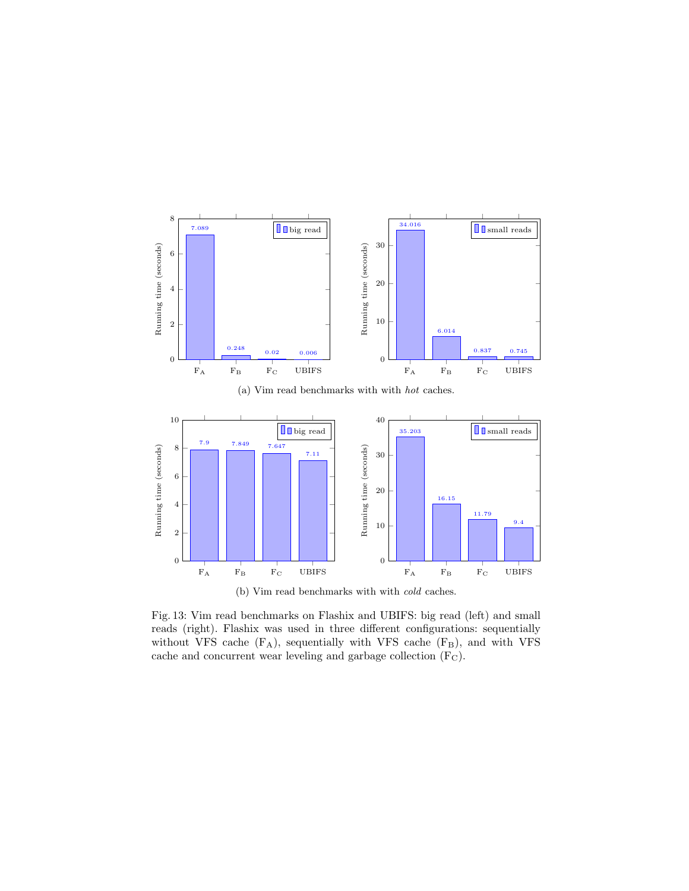<span id="page-20-0"></span>

Fig. 13: Vim read benchmarks on Flashix and UBIFS: big read (left) and small reads (right). Flashix was used in three different configurations: sequentially without VFS cache  $(F_A)$ , sequentially with VFS cache  $(F_B)$ , and with VFS cache and concurrent wear leveling and garbage collection  $(F_C)$ .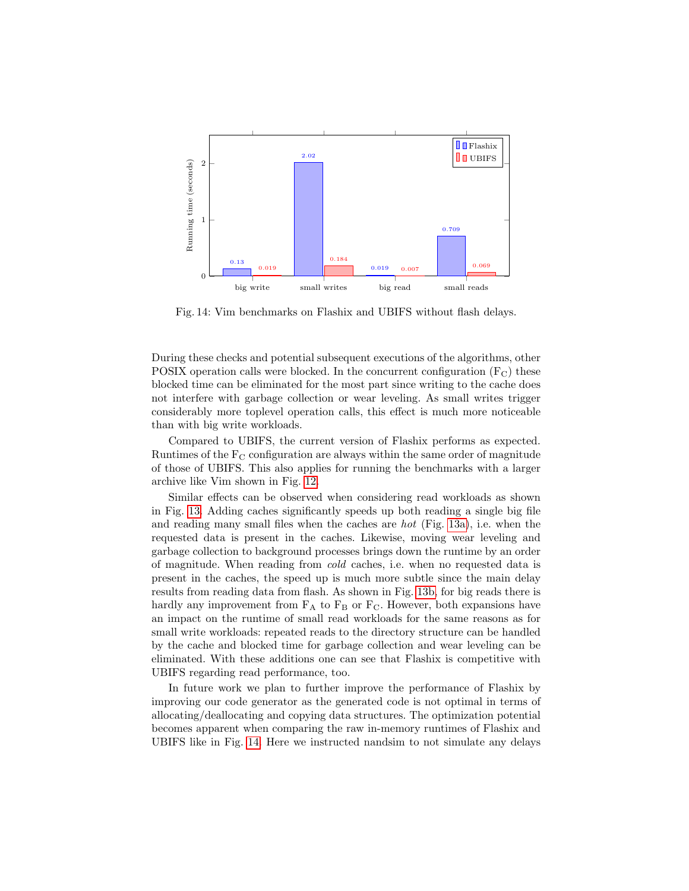<span id="page-21-0"></span>

Fig. 14: Vim benchmarks on Flashix and UBIFS without flash delays.

During these checks and potential subsequent executions of the algorithms, other POSIX operation calls were blocked. In the concurrent configuration  $(F_C)$  these blocked time can be eliminated for the most part since writing to the cache does not interfere with garbage collection or wear leveling. As small writes trigger considerably more toplevel operation calls, this effect is much more noticeable than with big write workloads.

Compared to UBIFS, the current version of Flashix performs as expected. Runtimes of the  $F_C$  configuration are always within the same order of magnitude of those of UBIFS. This also applies for running the benchmarks with a larger archive like Vim shown in Fig. [12.](#page-19-2)

Similar effects can be observed when considering read workloads as shown in Fig. [13.](#page-20-0) Adding caches significantly speeds up both reading a single big file and reading many small files when the caches are hot (Fig. [13a\)](#page-20-0), i.e. when the requested data is present in the caches. Likewise, moving wear leveling and garbage collection to background processes brings down the runtime by an order of magnitude. When reading from cold caches, i.e. when no requested data is present in the caches, the speed up is much more subtle since the main delay results from reading data from flash. As shown in Fig. [13b,](#page-20-0) for big reads there is hardly any improvement from  $F_A$  to  $F_B$  or  $F_C$ . However, both expansions have an impact on the runtime of small read workloads for the same reasons as for small write workloads: repeated reads to the directory structure can be handled by the cache and blocked time for garbage collection and wear leveling can be eliminated. With these additions one can see that Flashix is competitive with UBIFS regarding read performance, too.

In future work we plan to further improve the performance of Flashix by improving our code generator as the generated code is not optimal in terms of allocating/deallocating and copying data structures. The optimization potential becomes apparent when comparing the raw in-memory runtimes of Flashix and UBIFS like in Fig. [14.](#page-21-0) Here we instructed nandsim to not simulate any delays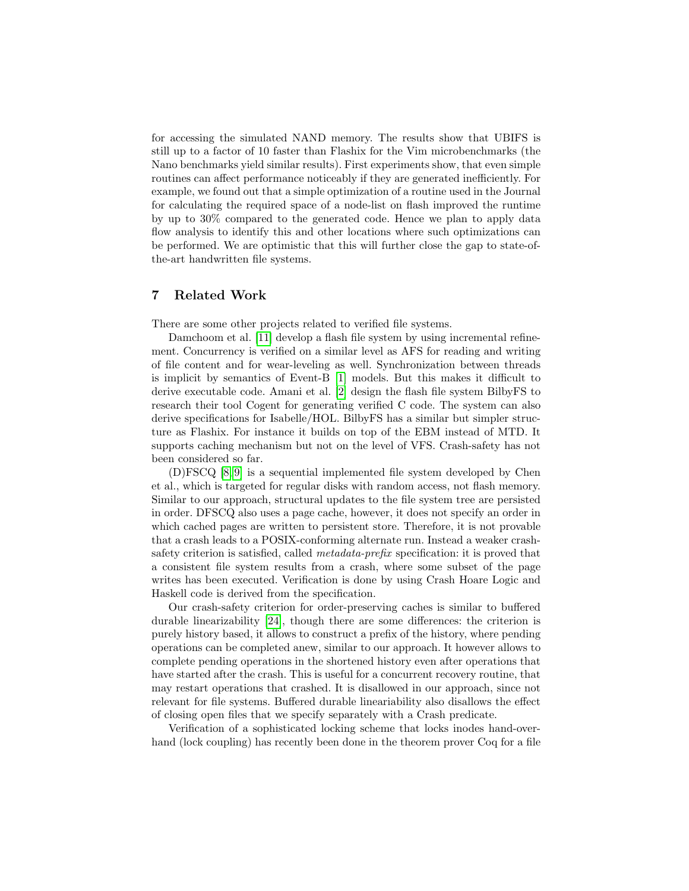for accessing the simulated NAND memory. The results show that UBIFS is still up to a factor of 10 faster than Flashix for the Vim microbenchmarks (the Nano benchmarks yield similar results). First experiments show, that even simple routines can affect performance noticeably if they are generated inefficiently. For example, we found out that a simple optimization of a routine used in the Journal for calculating the required space of a node-list on flash improved the runtime by up to 30% compared to the generated code. Hence we plan to apply data flow analysis to identify this and other locations where such optimizations can be performed. We are optimistic that this will further close the gap to state-ofthe-art handwritten file systems.

## <span id="page-22-0"></span>7 Related Work

There are some other projects related to verified file systems.

Damchoom et al. [\[11\]](#page-24-10) develop a flash file system by using incremental refinement. Concurrency is verified on a similar level as AFS for reading and writing of file content and for wear-leveling as well. Synchronization between threads is implicit by semantics of Event-B [\[1\]](#page-24-11) models. But this makes it difficult to derive executable code. Amani et al. [\[2\]](#page-24-12) design the flash file system BilbyFS to research their tool Cogent for generating verified C code. The system can also derive specifications for Isabelle/HOL. BilbyFS has a similar but simpler structure as Flashix. For instance it builds on top of the EBM instead of MTD. It supports caching mechanism but not on the level of VFS. Crash-safety has not been considered so far.

(D)FSCQ [\[8,](#page-24-13) [9\]](#page-24-14) is a sequential implemented file system developed by Chen et al., which is targeted for regular disks with random access, not flash memory. Similar to our approach, structural updates to the file system tree are persisted in order. DFSCQ also uses a page cache, however, it does not specify an order in which cached pages are written to persistent store. Therefore, it is not provable that a crash leads to a POSIX-conforming alternate run. Instead a weaker crashsafety criterion is satisfied, called metadata-prefix specification: it is proved that a consistent file system results from a crash, where some subset of the page writes has been executed. Verification is done by using Crash Hoare Logic and Haskell code is derived from the specification.

Our crash-safety criterion for order-preserving caches is similar to buffered durable linearizability [\[24\]](#page-25-15), though there are some differences: the criterion is purely history based, it allows to construct a prefix of the history, where pending operations can be completed anew, similar to our approach. It however allows to complete pending operations in the shortened history even after operations that have started after the crash. This is useful for a concurrent recovery routine, that may restart operations that crashed. It is disallowed in our approach, since not relevant for file systems. Buffered durable lineariability also disallows the effect of closing open files that we specify separately with a Crash predicate.

Verification of a sophisticated locking scheme that locks inodes hand-overhand (lock coupling) has recently been done in the theorem prover Coq for a file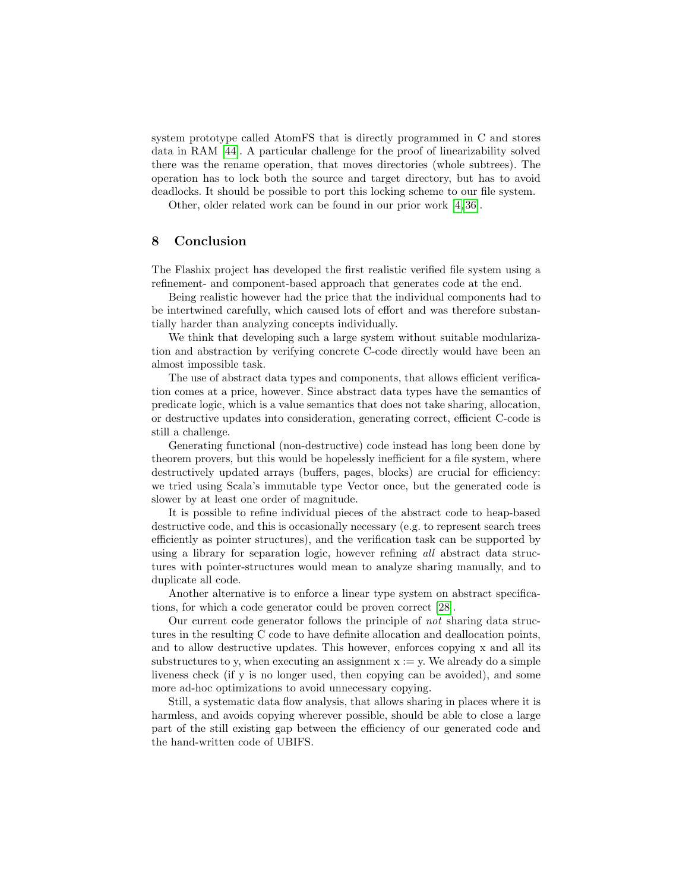system prototype called AtomFS that is directly programmed in C and stores data in RAM [\[44\]](#page-26-11). A particular challenge for the proof of linearizability solved there was the rename operation, that moves directories (whole subtrees). The operation has to lock both the source and target directory, but has to avoid deadlocks. It should be possible to port this locking scheme to our file system.

Other, older related work can be found in our prior work [\[4,](#page-24-5) [36\]](#page-26-6).

## <span id="page-23-0"></span>8 Conclusion

The Flashix project has developed the first realistic verified file system using a refinement- and component-based approach that generates code at the end.

Being realistic however had the price that the individual components had to be intertwined carefully, which caused lots of effort and was therefore substantially harder than analyzing concepts individually.

We think that developing such a large system without suitable modularization and abstraction by verifying concrete C-code directly would have been an almost impossible task.

The use of abstract data types and components, that allows efficient verification comes at a price, however. Since abstract data types have the semantics of predicate logic, which is a value semantics that does not take sharing, allocation, or destructive updates into consideration, generating correct, efficient C-code is still a challenge.

Generating functional (non-destructive) code instead has long been done by theorem provers, but this would be hopelessly inefficient for a file system, where destructively updated arrays (buffers, pages, blocks) are crucial for efficiency: we tried using Scala's immutable type Vector once, but the generated code is slower by at least one order of magnitude.

It is possible to refine individual pieces of the abstract code to heap-based destructive code, and this is occasionally necessary (e.g. to represent search trees efficiently as pointer structures), and the verification task can be supported by using a library for separation logic, however refining all abstract data structures with pointer-structures would mean to analyze sharing manually, and to duplicate all code.

Another alternative is to enforce a linear type system on abstract specifications, for which a code generator could be proven correct [\[28\]](#page-25-16).

Our current code generator follows the principle of not sharing data structures in the resulting C code to have definite allocation and deallocation points, and to allow destructive updates. This however, enforces copying x and all its substructures to y, when executing an assignment  $x := y$ . We already do a simple liveness check (if y is no longer used, then copying can be avoided), and some more ad-hoc optimizations to avoid unnecessary copying.

Still, a systematic data flow analysis, that allows sharing in places where it is harmless, and avoids copying wherever possible, should be able to close a large part of the still existing gap between the efficiency of our generated code and the hand-written code of UBIFS.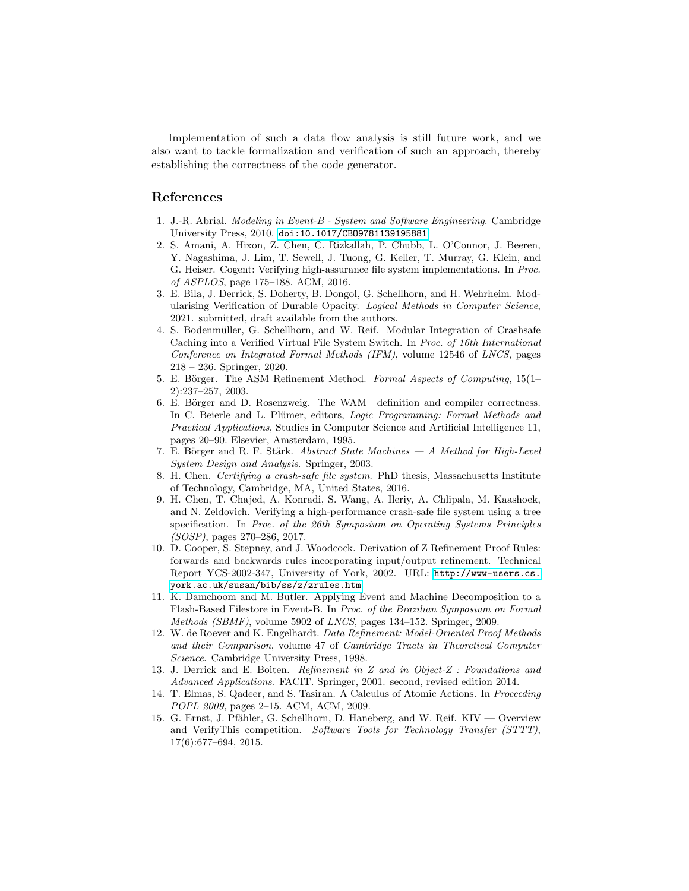Implementation of such a data flow analysis is still future work, and we also want to tackle formalization and verification of such an approach, thereby establishing the correctness of the code generator.

## References

- <span id="page-24-11"></span>1. J.-R. Abrial. Modeling in Event-B - System and Software Engineering. Cambridge University Press, 2010. [doi:10.1017/CBO9781139195881](https://doi.org/10.1017/CBO9781139195881).
- <span id="page-24-12"></span>2. S. Amani, A. Hixon, Z. Chen, C. Rizkallah, P. Chubb, L. O'Connor, J. Beeren, Y. Nagashima, J. Lim, T. Sewell, J. Tuong, G. Keller, T. Murray, G. Klein, and G. Heiser. Cogent: Verifying high-assurance file system implementations. In Proc. of ASPLOS, page 175–188. ACM, 2016.
- <span id="page-24-9"></span>3. E. Bila, J. Derrick, S. Doherty, B. Dongol, G. Schellhorn, and H. Wehrheim. Modularising Verification of Durable Opacity. Logical Methods in Computer Science, 2021. submitted, draft available from the authors.
- <span id="page-24-5"></span>4. S. Bodenmüller, G. Schellhorn, and W. Reif. Modular Integration of Crashsafe Caching into a Verified Virtual File System Switch. In Proc. of 16th International Conference on Integrated Formal Methods (IFM), volume 12546 of LNCS, pages 218 – 236. Springer, 2020.
- <span id="page-24-2"></span>5. E. Börger. The ASM Refinement Method. Formal Aspects of Computing,  $15(1-$ 2):237–257, 2003.
- <span id="page-24-1"></span>6. E. Börger and D. Rosenzweig. The WAM—definition and compiler correctness. In C. Beierle and L. Plümer, editors, Logic Programming: Formal Methods and Practical Applications, Studies in Computer Science and Artificial Intelligence 11, pages 20–90. Elsevier, Amsterdam, 1995.
- <span id="page-24-0"></span>7. E. Börger and R. F. Stärk. Abstract State Machines  $- A$  Method for High-Level System Design and Analysis. Springer, 2003.
- <span id="page-24-13"></span>8. H. Chen. Certifying a crash-safe file system. PhD thesis, Massachusetts Institute of Technology, Cambridge, MA, United States, 2016.
- <span id="page-24-14"></span>9. H. Chen, T. Chajed, A. Konradi, S. Wang, A. ˙Ileriy, A. Chlipala, M. Kaashoek, and N. Zeldovich. Verifying a high-performance crash-safe file system using a tree specification. In Proc. of the 26th Symposium on Operating Systems Principles (SOSP), pages 270–286, 2017.
- <span id="page-24-4"></span>10. D. Cooper, S. Stepney, and J. Woodcock. Derivation of Z Refinement Proof Rules: forwards and backwards rules incorporating input/output refinement. Technical Report YCS-2002-347, University of York, 2002. URL: [http://www-users.cs.](http://www-users.cs.york.ac.uk/susan/bib/ss/z/zrules.htm) [york.ac.uk/susan/bib/ss/z/zrules.htm](http://www-users.cs.york.ac.uk/susan/bib/ss/z/zrules.htm).
- <span id="page-24-10"></span>11. K. Damchoom and M. Butler. Applying Event and Machine Decomposition to a Flash-Based Filestore in Event-B. In Proc. of the Brazilian Symposium on Formal Methods (SBMF), volume 5902 of LNCS, pages 134–152. Springer, 2009.
- <span id="page-24-8"></span>12. W. de Roever and K. Engelhardt. Data Refinement: Model-Oriented Proof Methods and their Comparison, volume 47 of Cambridge Tracts in Theoretical Computer Science. Cambridge University Press, 1998.
- <span id="page-24-6"></span>13. J. Derrick and E. Boiten. Refinement in Z and in Object-Z : Foundations and Advanced Applications. FACIT. Springer, 2001. second, revised edition 2014.
- <span id="page-24-7"></span>14. T. Elmas, S. Qadeer, and S. Tasiran. A Calculus of Atomic Actions. In Proceeding POPL 2009, pages 2-15. ACM, ACM, 2009.
- <span id="page-24-3"></span>15. G. Ernst, J. Pfähler, G. Schellhorn, D. Haneberg, and W. Reif. KIV — Overview and VerifyThis competition. Software Tools for Technology Transfer (STTT), 17(6):677–694, 2015.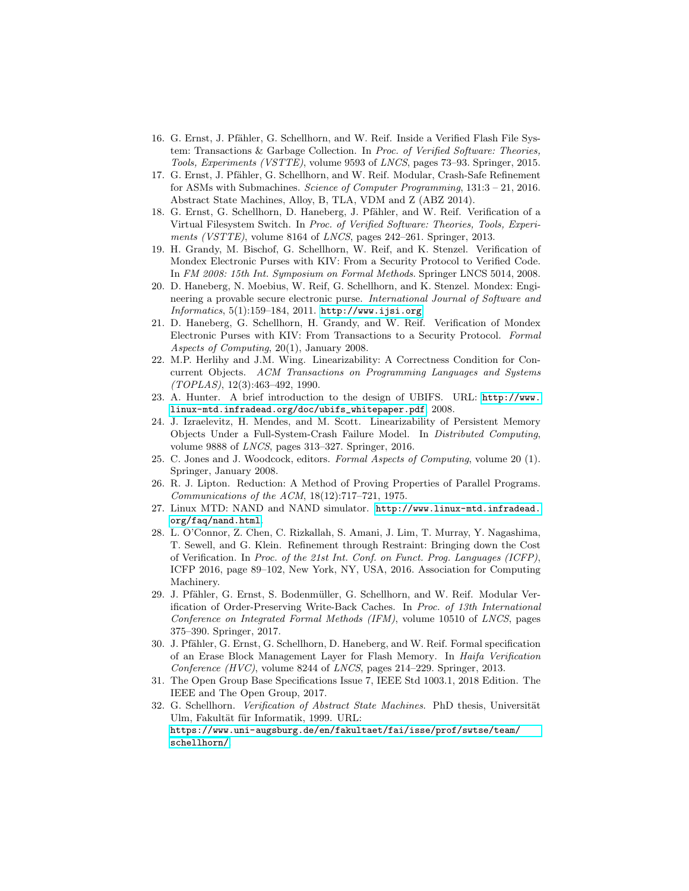- <span id="page-25-10"></span>16. G. Ernst, J. Pfähler, G. Schellhorn, and W. Reif. Inside a Verified Flash File System: Transactions & Garbage Collection. In Proc. of Verified Software: Theories, Tools, Experiments (VSTTE), volume 9593 of LNCS, pages 73–93. Springer, 2015.
- <span id="page-25-5"></span>17. G. Ernst, J. Pfähler, G. Schellhorn, and W. Reif. Modular, Crash-Safe Refinement for ASMs with Submachines. Science of Computer Programming, 131:3 – 21, 2016. Abstract State Machines, Alloy, B, TLA, VDM and Z (ABZ 2014).
- <span id="page-25-9"></span>18. G. Ernst, G. Schellhorn, D. Haneberg, J. Pfähler, and W. Reif. Verification of a Virtual Filesystem Switch. In Proc. of Verified Software: Theories, Tools, Experiments (VSTTE), volume 8164 of LNCS, pages 242–261. Springer, 2013.
- <span id="page-25-3"></span>19. H. Grandy, M. Bischof, G. Schellhorn, W. Reif, and K. Stenzel. Verification of Mondex Electronic Purses with KIV: From a Security Protocol to Verified Code. In FM 2008: 15th Int. Symposium on Formal Methods. Springer LNCS 5014, 2008.
- <span id="page-25-4"></span>20. D. Haneberg, N. Moebius, W. Reif, G. Schellhorn, and K. Stenzel. Mondex: Engineering a provable secure electronic purse. International Journal of Software and Informatics, 5(1):159–184, 2011. <http://www.ijsi.org>.
- <span id="page-25-2"></span>21. D. Haneberg, G. Schellhorn, H. Grandy, and W. Reif. Verification of Mondex Electronic Purses with KIV: From Transactions to a Security Protocol. Formal Aspects of Computing, 20(1), January 2008.
- <span id="page-25-6"></span>22. M.P. Herlihy and J.M. Wing. Linearizability: A Correctness Condition for Concurrent Objects. ACM Transactions on Programming Languages and Systems  $(TOPLAS)$ , 12(3):463-492, 1990.
- <span id="page-25-13"></span>23. A. Hunter. A brief introduction to the design of UBIFS. URL: [http://www.](http://www.linux-mtd.infradead.org/doc/ubifs_whitepaper.pdf) [linux-mtd.infradead.org/doc/ubifs\\_whitepaper.pdf](http://www.linux-mtd.infradead.org/doc/ubifs_whitepaper.pdf), 2008.
- <span id="page-25-15"></span>24. J. Izraelevitz, H. Mendes, and M. Scott. Linearizability of Persistent Memory Objects Under a Full-System-Crash Failure Model. In Distributed Computing, volume 9888 of LNCS, pages 313–327. Springer, 2016.
- <span id="page-25-1"></span>25. C. Jones and J. Woodcock, editors. Formal Aspects of Computing, volume 20 (1). Springer, January 2008.
- <span id="page-25-7"></span>26. R. J. Lipton. Reduction: A Method of Proving Properties of Parallel Programs. Communications of the ACM, 18(12):717–721, 1975.
- <span id="page-25-14"></span>27. Linux MTD: NAND and NAND simulator. [http://www.linux-mtd.infradead.](http://www.linux-mtd.infradead.org/faq/nand.html) [org/faq/nand.html](http://www.linux-mtd.infradead.org/faq/nand.html).
- <span id="page-25-16"></span>28. L. O'Connor, Z. Chen, C. Rizkallah, S. Amani, J. Lim, T. Murray, Y. Nagashima, T. Sewell, and G. Klein. Refinement through Restraint: Bringing down the Cost of Verification. In Proc. of the 21st Int. Conf. on Funct. Prog. Languages (ICFP), ICFP 2016, page 89–102, New York, NY, USA, 2016. Association for Computing Machinery.
- <span id="page-25-11"></span>29. J. Pfähler, G. Ernst, S. Bodenmüller, G. Schellhorn, and W. Reif. Modular Verification of Order-Preserving Write-Back Caches. In Proc. of 13th International Conference on Integrated Formal Methods (IFM), volume 10510 of LNCS, pages 375–390. Springer, 2017.
- <span id="page-25-12"></span>30. J. Pfähler, G. Ernst, G. Schellhorn, D. Haneberg, and W. Reif. Formal specification of an Erase Block Management Layer for Flash Memory. In Haifa Verification Conference (HVC), volume 8244 of LNCS, pages 214–229. Springer, 2013.
- <span id="page-25-8"></span>31. The Open Group Base Specifications Issue 7, IEEE Std 1003.1, 2018 Edition. The IEEE and The Open Group, 2017.
- <span id="page-25-0"></span>32. G. Schellhorn. Verification of Abstract State Machines. PhD thesis, Universität Ulm, Fakultät für Informatik, 1999. URL: [https://www.uni-augsburg.de/en/fakultaet/fai/isse/prof/swtse/team/](https://www.uni-augsburg.de/en/fakultaet/fai/isse/prof/swtse/team/schellhorn/) [schellhorn/](https://www.uni-augsburg.de/en/fakultaet/fai/isse/prof/swtse/team/schellhorn/).